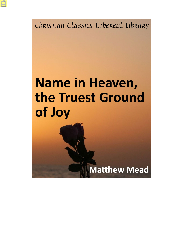Christian Classics Ethereal Library

# Name in Heaven, the Truest Ground of Joy

**Matthew Mead**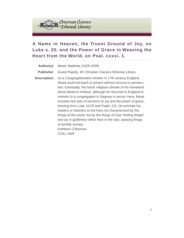

# **A Name in Heaven, the Truest Ground of Joy, on Luke x. 20. and the Power of Grace in Weaning the Heart from the World, on Psal. cxxxi. 1.**

| Author(s):          | Mead, Matthew (1629-1699)                                                                                                                                                                                                                                                                                                                                                                                                                                                                                                                                                                                                                                                                                      |
|---------------------|----------------------------------------------------------------------------------------------------------------------------------------------------------------------------------------------------------------------------------------------------------------------------------------------------------------------------------------------------------------------------------------------------------------------------------------------------------------------------------------------------------------------------------------------------------------------------------------------------------------------------------------------------------------------------------------------------------------|
| <b>Publisher:</b>   | Grand Rapids, MI: Christian Classics Ethereal Library                                                                                                                                                                                                                                                                                                                                                                                                                                                                                                                                                                                                                                                          |
| <b>Description:</b> | As a Congregationalist minister in 17th century England,<br>Mead could not teach or preach without censure or persecu-<br>tion. Eventually, the harsh religious climate of his homeland<br>drove Mead to Holland, although he returned to England to<br>minister to a congregation in Stepney in secret. Here, Mead<br>includes two sets of sermons on joy and the power of grace,<br>drawing from Luke 10:20 and Psalm 131. He entreats his<br>readers or listeners to live lives not characterized by the<br>things of the world, but by the things of God, finding delight<br>and joy in godliness rather than in the vain, passing things<br>of worldly society.<br>Kathleen O'Bannon<br><b>CCEL Staff</b> |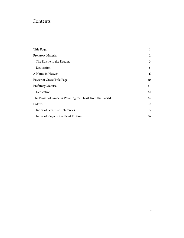# Contents

| Title Page.                                             | 1  |
|---------------------------------------------------------|----|
| Prefatory Material.                                     | 2  |
| The Epistle to the Reader.                              | 3  |
| Dedication.                                             | 5  |
| A Name in Heaven.                                       | 6  |
| Power of Grace Title Page.                              | 30 |
| Prefatory Material.                                     | 31 |
| Dedication.                                             | 32 |
| The Power of Grace in Weaning the Heart from the World. | 34 |
| Indexes                                                 | 52 |
| Index of Scripture References                           | 53 |
| Index of Pages of the Print Edition                     |    |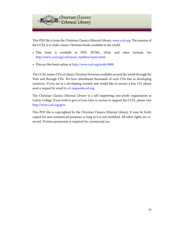

This PDF file is from the Christian Classics Ethereal Library, [www.ccel.org.](http://www.ccel.org) The mission of the CCEL is to make classic Christian books available to the world.

- This book is available in PDF, HTML, ePub, and other formats. See [http://www.ccel.org/ccel/mead\\_matthew/name.html.](http://www.ccel.org/ccel/mead_matthew/name.html)
- Discuss this book online at [http://www.ccel.org/node/4988.](http://www.ccel.org/node/4988)

The CCEL makes CDs of classic Christian literature available around the world through the Web and through CDs. We have distributed thousands of such CDs free in developing countries. If you are in a developing country and would like to receive a free CD, please send a request by email to [cd-request@ccel.org.](mailto:cd-request@ccel.org)

The Christian Classics Ethereal Library is a self supporting non-profit organization at Calvin College. If you wish to give of your time or money to support the CCEL, please visit [http://www.ccel.org/give.](http://www.ccel.org/give)

This PDF file is copyrighted by the Christian Classics Ethereal Library. It may be freely copied for non-commercial purposes as long as it is not modified. All other rights are reserved. Written permission is required for commercial use.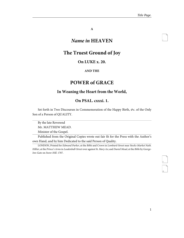<span id="page-4-1"></span>i

**A**

# *Name in* **HEAVEN**

# <span id="page-4-0"></span>**The Truest Ground of Joy**

## **On LUKE x. 20.**

#### **AND THE**

# **POWER of GRACE**

### **In Weaning the Heart from the World,**

### **On PSAL. cxxxi. 1.**

Set forth in Two Discourses in Commemoration of the Happy Birth, &c. of the Only Son of a Person of QUALITY.

By the late Reverend

Mr. MATTHEW MEAD.

Minister of the Gospel.

Published from the Original Copies wrote out fair fit for the Press with the Author's own Hand, and by him Dedicated to the said Person of Quality.

LONDON, Printed for Edmund Parker, at the Bible and Crown in Lombard-Street near Stocks-Market Nath. Hillier, at the Prince's Arms in Leadenball-Street over against St. Mary Ax; and Daniel Mead, at the Bible by George-Inn-Gate on Snow-Hill. 1707.

<span id="page-4-3"></span><span id="page-4-2"></span>ii<br>iii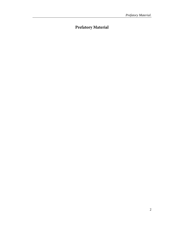# <span id="page-5-0"></span>**Prefatory Material**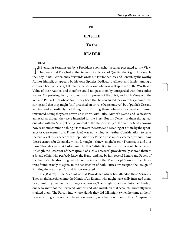#### **THE**

#### **EPISTLE**

#### **To the**

#### **READER**

#### <span id="page-6-0"></span>READER,

The ensuing Sermons are by a Providence somewhat peculiar presented to thy View.<br>They were first Preached at the Request of a Person of Quality, the Right Honourable They were first Preached at the Request of a Person of Quality, the Right Honourable the Lady Diana Verney, and afterwards wrote out fair for her Use and Benefit, by the worthy Author himself, as appears by his own Epistles Dedicatory affixed; and lately (among a confused heap of Papers) fell into the hands of one who was well apprized of the Worth and Value of their Author, and therefore could not pass them by unregarded with those other Papers. On perusing them, he found such Impresses of the Spirit, and such Vestigia of the Wit and Parts of him whose Name they bear, that he concluded they were his genuine Offspring, and that they might (tho' preached on private Occasions, yet) be of publick Use and Service; and accordingly had thoughts of Printing them; whereto he conceived himself warranted, seeing they were drawn up in Form, with Titles, Author's Name, and Dedications annexed, as though they were intended for the Press. But his Owner of them though acquainted with the Stile, yet being ignorant of the Hand-writing of the Author (and knowing how easie and common a thing it is to invert the Sense and Meaning of a Man, by the Ignorance or Carelessness of a Transcriber) was not willing, on farther Consideration, to serve the Publick at the expence of the Reputation of a Person he so much esteemed, by publishing those Sermons for Originals, which, for ought he knew, might be only Transcripts; and thus those Thoughts were laid asleep until farther Satisfaction in that matter could be obtained. At length the Possessor of them (proud of such a Treasure) providentially shewed them to a Friend of his, who perfectly knew the Hand, and had by him several Letters and Papers of the Author's Hand-writing, which comparing with the Manuscript Sermons; the Hands were found exactly to agree, to the Satisfaction of both Parties; whereupon the Design of Printing them was reviv'd, and is now executed.

This (Reader) is the Account of that Providence which has attended these Sermons. They might have fallen into the Hands of an Enemy, who might have evilly intreated them, by committing them to the Flames, or otherwise, They might have fallen into the Hands of one who knew not the Reverend Author, and who might, on that account, ignorantly have slighted them. The Person into whose Hands they did fall, might (when he came at them) have unwittingly thrown them by without a notice, as he had done many of their Companions <span id="page-6-1"></span>iv

<span id="page-6-3"></span><span id="page-6-2"></span>v

vi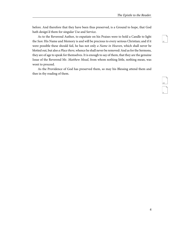<span id="page-7-0"></span>vii

<span id="page-7-2"></span><span id="page-7-1"></span>viii

ix

before. And therefore that they have been thus preserved, is a Ground to hope, that God hath design'd them for singular Use and Service.

As to the Reverend Author, to expatiate on his Praises were to hold a Candle to light the Sun: His Name and Memory is and will be precious to every serious Christian; and if it were possible these should fail, he has not only a Name in Heaven, which shall never be blotted out, but also a Place there, whence he shall never be removed: And as for the Sermons, they are of age to speak for themselves. It is enough to say of them, that they are the genuine Issue of the Reverend Mr. Matthew Mead, from whom nothing little, nothing mean, was wont to proceed.

As the Providence of God has preserved them, so may his Blessing attend them and thee in thy reading of them.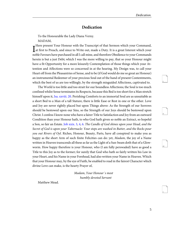<span id="page-8-4"></span><span id="page-8-3"></span>x

<span id="page-8-5"></span>xi

<span id="page-8-6"></span>xii

1

#### **Dedication**

<span id="page-8-0"></span>To the Honourable the Lady Diana Verny.

MADAM,

There present Your Honour with the Transcript of that sermon which your Command,<br>at first to Preach, and since to Write out, made a Duty. It is a great Interest which your Here present Your Honour with the Transcript of that Sermon which your Command, noble Favours have purchased in all I call mine, and therefore Obedience to your Commands herein is but a just Debt; which I was the more willing to pay, that so your Honour might have a fit Opportunity for a more leisurely Contemplation of those things which your Attention and Affections were so concerned in at the hearing. My Design was, to call your Heart off from the Pleasantries of Sense, and to be (if God would do me so great an Honour) an instrumental Redeemer of your precious Soul out of the hand of present Contentments, which the best of us are too willingly, by the strength misguided Affections, captivated to.

<span id="page-8-2"></span><span id="page-8-1"></span>The World is too little and too strait for our boundless Affections; the Soul is too much confined whilst Sense terminates its Respects, because this Bed is too short for a Man stretch himself upon it, [Isa. xxviii. 20](http://www.ccel.org/study/Bible:Isa.28.20). Perishing Comforts to an immortal Soul are as unsuitable as a short Bed to a Man of a tall Stature, there is little Ease or Rest in one or the other. Love and Joy are never rightly placed but upon Things above: As the Strength of our Sorrows should be bestowed upon our Sins, so the Strength of our Joys should be bestowed upon Christ. I confess I know none who have a fairer Title to Satisfaction and Joy from an outward Condition than your Honour hath, to who God hath given so noble an Extract, so hopeful a Son, so fair an Estate. [Job xxix. 3,](http://www.ccel.org/study/Bible:Job.29.3) [4,](http://www.ccel.org/study/Bible:Job.29.4) [6.](http://www.ccel.org/study/Bible:Job.29.6) The Candle of God shines upon your Head, and the Secret of God is upon your Tabernacle: Your steps are washed in Butter, and the Rocks pour you out Rivers of Oyl. Riches, Honour, Beauty, Parts, have all conspired to make you as happy as the short Arm of such finite Felicities can do: yet, *Madam*, the joy of a Name written in Heaven transcends all these as far as the Light of a Sun-beam doth that of a Glowworm. How happy therefore is your Honour, who (I am fully perswaded) have as good a Title to this Joy as to the former; for surely that God who hath so fairly written his Law in your Heart, and his Name in your Forehead, had also written your Name in Heaven. Which that your Honour may, by the eye of Faith, be enabled to read in the fairest Character which divine Love can make, is the hearty Prayer of,

> Madam, Your Honour´s most humbly devoted Servant

Matthew Mead.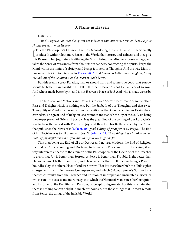## <span id="page-9-4"></span>**A Name in Heaven**

<span id="page-9-0"></span>LUKE x. 20.

—In this rejoice not, that the Spirits are subject to you: but rather rejoice, because your Names are written in Heaven.

<span id="page-9-1"></span> $\prod_{i=1}^{n}$  is the Philosopher's Opinion, that Joy (considering the effects which it accidentally produceth within) doth more harm in the World than sorrow and sadness; and they give T is the Philosopher's Opinion, that Joy (considering the effects which it accidentally this Reason, That Joy, naturally dilating the Spirits brings the Mind to a loose carriage, and takes the Sense of Weariness from about it: but sadness, contracting the Spirits, keeps the Mind within the limits of sobriety, and brings it to serious Thoughts. And the wise Man, in favour of this Opinion, tells us in [Eccles. vii. 3](http://www.ccel.org/study/Bible:Eccl.7.3). that Sorrow is better than Laughter, for by the sadness of the Countenance the Heart is made better.

But this seems a great Paradox, that joy should hurt, and sadness do good, that Sorrow should be better than Laughter. Is Hell better than Heaven? is not Hell a Place of sorrow? And who is made better by it? and is not Heaven a Place of Joy? And who is made worse by it?

<span id="page-9-3"></span><span id="page-9-2"></span>The End of all our Motions and Desires is to avoid Sorrow, Perturbation, and to attain Rest and Delight; which is nothing else but the Sabbath of our Thoughts, and that sweet Tranquility of Mind which results from the Fruition of that Good whereto our Desires have carried us. The great End of Religion is to promote and stablish the Joy of the Soul, sin being the proper parent of Grief and Sorrow. Nay the great End of the coming of our Lord Christ was to bless the World with Peace and Joy, and therefore his Birth is called by the Angel that published the News of it [\(Luke ii. 10.](http://www.ccel.org/study/Bible:Luke.2.10)) good Tidings of great joy to all People. The End of his Doctrine was to fill them with Joy; St. [John xv. 11.](http://www.ccel.org/study/Bible:John.15.11) These things have I spoken to you that my Joy might remain in you, and that your Joy might be full.

This then being the End of all our Desires and natural Motions, the End of Religion, the End of Christ's coming and Doctrine, to fill us with Peace and Joy in believing; it no way interfereth either with the Opinion of the Philosopher, or the Doctrine of the Preacher to averr, that Joy is better than Sorrow, as Peace is better than Trouble, Light better than Darkness, Sweet better than Bitter, and Heaven better than Hell; the one being a Place of boundless Joy, the other a Place of endless Sorrow. That Joy therefore which the Philosopher charges with such mischievous Consequences, and which Solomon prefer's Sorrow to, is that which results from the Presence and Fruition of improper and unsuitable Objects, or which runs into excess and inordinacy, into which the Nature of Man, since the Corruption and Disorder of the Faculties and Passions, is too apt to degenerate: For this is certain, that there is nothing we can delight in much, without sin, but those things that lie most remote from Sence, the things of the invisible World.

<span id="page-9-6"></span><span id="page-9-5"></span>4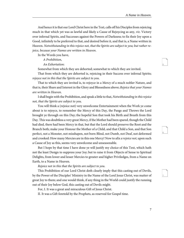<span id="page-10-2"></span><span id="page-10-1"></span><span id="page-10-0"></span>6

7

And hence it is that our Lord Christ here in the Text, calls off his Disciples from rejoicing much in that which yet was as lawful and likely a Cause of Rejoycing as any, viz. Victory over infernal Spirits, and Successes against the Powers of Darkness; to fix their Joy upon a Good, infinitely to be preferred to that, and desired before it, and that is, a Name written in Heaven. Notwithstanding in this rejoice not, that the Spirits are subject to you; but rather rejoice, because your Names are written in Heaven.

In the Words you have,

A Prohibition,

An Exhortation:

Somewhat from which they are dehorted; somewhat to which they are invited.

That from which they are dehorted is, rejoicing in their Success over infernal Spirits; rejoyce not in this that the Spirits are subject to you.

That to which they are invited is, to rejoyce in a Mercy of a much nobler Nature, and that is, their Share and Interest in the Glory and Blessedness above; Rejoice that your Names are written in Heaven.

I shall begin with the Prohibition, and speak a little to that, Notwithstanding in this rejoice not, that the Spirits are subject to you.

You will think a (rejoice not) very unwelcome Entertainment when the Work ye come about is to rejoyce, to remember the Mercy of this Day, the Pangs and Throws the Lord brought ye through on this Day; the hopeful Son that took his Birth and Breath from this Day. This was doubtless a very great Mercy, if the Mother had been spared, though the Child had died, there had been Mercy in that, but that the Lord should preserve the Root and the Branch both; make your Honour the Mother of a Child, and that Child a Son, and that Son perfect, not a Monster, not misshapen, not born Blind, not Dumb, not Deaf, not deformed and crooked: How many Mercies are in this one Mercy! Now to afix a rejoice not, upon such a Cause of Joy as this, seems very unwelcome and unseasonable.

But I hope by that time I have done ye will justify my choice of this Text, which hath not the least Design to suppress your Joy; but to raise it from Objects of Sense to Spiritual Delights, from lower and lesser Mercies to greater and higher Priviledges, from a Name on Earth, to a Name in Heaven.

Rejoice not in this that the Spirits are subject to you.

This Prohibition of our Lord Christ doth clearly imply that this casting out of Devils, by the Power of the Disciples' Ministry in the Name of the Lord Jesus Christ, was matter of great Joy to them; and one would think, if any thing in the World could justify the running out of their Joy below God, this casting out of Devils might.

For, I. It was a great and miraculous Gift of Jesus Christ.

II. It was a Gift foretold by the Prophets, as reserved for Gospel time.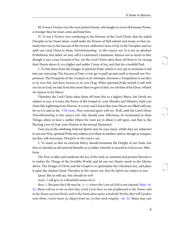<span id="page-11-4"></span><span id="page-11-3"></span>9

<span id="page-11-5"></span>10

III. It was a Victory over the most potent Enemy, who laughs to scorn all humane Power, a stronger than he must come and bind him.

IV. It was a Victory very conducing to the Honour of the Lord Christ, that his naked Disciples in his Name alone, could make the Powers of Hell submit and stoop; so that certainly here was in the Success of this Service sufficient Cause of Joy to the Disciples; and yet saith our Lord Christ to them, *Notwithstanding, in this rejoyce not*. It is not an absolute Prohibition, but rather we may call it a cautionary Limitation, Rejoice not so much in this; though it was a true Ground of Joy, yet the Lord Christ takes them off from it, by raising their Hearts above it, to a higher and nobler Cause of Joy; and that for a twofold End.

1. To free them from the Danger of spiritual Pride, which is very apt to insinuate it self into our rejoycing: The Success of Duty is too apt to puff up and swell us beyond our Proportions. The Prosperity of the Creature in its Attempts, becomes a Temptation to sacrifice to its own Net, and burn Incense to its own Drag. When spiritual Pride mixeth it self with our Joy in God, we take from him more than we give to him, we rob him of his Glory, whilest we rejoyce in his Mercy.

<span id="page-11-2"></span>Therefore the Lord Christ takes them off from this to a higher Object, the Devils are subject to you, it is true; the Power of the Gospel in your Mouths and Ministry, hath cast Satan like Lightning from Heaven, it is true; and I know that your Hearts are filled with joy; for so it is said in the [17th verse,](http://www.ccel.org/study/Bible:Luke.10.17) They returned again with joy. Well, saith the Lord Christ, Notwithstanding in this rejoyce not, why should your Affections, be terminated in these Things, when ye have a nobler Object for your joy to dilate it self upon, and that is, the Electing Love of God, your Portion in the eternal Mansions!

Your joy in the subduing Infernal Spirits may be your snare, whilst they are subjected to you one Way, spiritual Pride may subject ye to them in another; and so, though ye conquer, yet they will overcome; Therefore in this rejoice not.

2. To teach us that no external Mercy should terminate the Delight of our Souls, but that we should use all outward Benefits as a Ladder whereby to ascend to God in our Affections.

<span id="page-11-0"></span>The Way to allay and moderate the Joy of the Soul, in common and present Mercies is to realize the Things of the Invisible World, and let out our Hearts much to the Glories above. The Design of Christ and the Gospel is to spiritualize the Christians Joy, and place it upon the chiefest Good; Therefore in this rejoice not, that the Spirits are subject to you.

Quest. But ye will say, why should we not?

Answ. I will give ye a threefold reason for it.

<span id="page-11-1"></span>Reas. 1. Because this Gift may be given where the Love of God is not injoyed; [Matt. vii.](http://www.ccel.org/study/Bible:Matt.7.22) [22.](http://www.ccel.org/study/Bible:Matt.7.22) Many will say to me on that Day, Lord, Lord, have we not prophecyed in thy Name, and in thy Name cast out Devils, and in thy Name done many wonderful Works; then will I profess unto them, I never knew ye, depart from me, ye that work iniquity. [ver. 23](http://www.ccel.org/study/Bible:Matt.7.23). Many may cast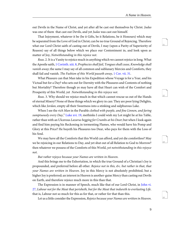<span id="page-12-6"></span><span id="page-12-5"></span>13

<span id="page-12-7"></span>14

out Devils in the Name of Christ, and yet after all be cast out themselves by Christ. Judas was one of them that cast out Devils, and yet Judas was cast out himself.

<span id="page-12-4"></span>That Injoyment, whatever it be (be it Gifts, be it Relations, be it Honours) which may be separated from the Love of God in Christ; can be no true Ground of Rejoicing. Therefore what our Lord Christ saith of casting out of Devils, I may (upon a Parity of Superiority of Reason) say of all things below which we place our Contentment in, and look upon as matter of Joy, Notwithstanding in this rejoice not.

<span id="page-12-3"></span><span id="page-12-2"></span>Reas. 2. It is a Vanity to rejoice much in anything which we cannot rejoice in long. What the Apostle saith, [1 Corinth. xiii. 8](http://www.ccel.org/study/Bible:1Cor.13.8), Prophecies shall fail, Tongues shall cease, Knowledge shall vanish away; the same I may say of all common and sublunary Mercies and Comforts, they shall fail and vanish. The Fashion of this World passeth away, [1 Cor. vii. 31](http://www.ccel.org/study/Bible:1Cor.7.31).

What Pleasure can that Man take in his Expedition whose Voyage is for a Year, and his Victual but for a Day? who sets out for Eternity with the Pleasures and Contents of nothing but Mortality? Therefore though ye may have all that Heart can wish of the Comfort and Prosperity of this World, yet Notwithstanding in this rejoyce not.

<span id="page-12-0"></span>Reas. 3. Why should we rejoice much in that which cannot rescue us out of the Hands of eternal Misery? None of these things which we glory in can: They are poor lying Delights, which like *Jordan*, empty all their Sweetness into a stinking and sulphurous Lake.

When I see the rich Man in the Parable clothed with purple, and fine Linnen, and faring sumptuously every Day," [Luke xvi. 19,](http://www.ccel.org/study/Bible:Luke.16.19) methinks I could wish my Lot might lie at his Table, rather than with an Ulcerous Lazarus begging for Crumbs at his Door; but when I look again and find him paying his Reckoning in tormenting Flames, who would have his Pomp and Glory at this Price? He buyeth his Pleasures too Dear, who pays for them with the Loss of his Soul.

We may have all the Comforts that this World can afford, and yet die comfortless? May we be rejoicing in our Relations to Day, and yet shut out of all Relation to God to Morrow? then whatever we possess of the Comforts of this World, yet notwithstanding in this rejoyce not.

But rather rejoyce because your Names are written in Heaven.

<span id="page-12-1"></span>And this brings me to the Exhortation, in which the true Ground of a Christian's Joy is propounded, and preferred before all other. Rejoice not in this, &c. but rather in that, that your Names are written in Heaven. Joy in this Mercy is not absolutely prohibited, but a higher Joy is preferred; an interest in Heaven is another-guise Mercy than casting out Devils on Earth, and therefore rejoice much more in this than that.

The Expression is in manner of Speech, much like that of our Lord Christ, in [John vi.](http://www.ccel.org/study/Bible:John.6.27) [27,](http://www.ccel.org/study/Bible:John.6.27) Labour not for the Meat that perisheth, but for the Meat that indureth to everlasting Life. that is, Labour not so much for this as for that, or rather for that than this.

Let us a little consider the Expression, Rejoice because your Names are written in Heaven.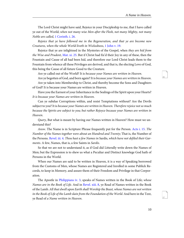<span id="page-13-2"></span>The Lord Christ might have said, Rejoice in your Discipleship to me, that I have called ye out of the World; when not many wise Men after the Flesh, not many Mighty, not many Noble are called, [1 Corinth. i. 26.](http://www.ccel.org/study/Bible:1Cor.1.26)

<span id="page-13-4"></span>Rejoice that ye have followed me in the Regeneration, and that ye are become new Creatures, when the whole World liveth in Wickedness, [1 John v. 19.](http://www.ccel.org/study/Bible:1John.5.19)

<span id="page-13-0"></span>Rejoice that ye are inlightned in the Mysteries of the Gospel, when they are hid from the Wise and Prudent, [Mat. xi. 25.](http://www.ccel.org/study/Bible:Matt.11.25) But if Christ had fix'd their Joy in any of these, then the Fountain and Cause of all had been hid, and therefore our Lord Christ leads them to the Fountain from whence all these Privileges are derived, and that is, the electing Love of God, this being the Cause of all future Good to the Creature.

<span id="page-13-7"></span>Are ye called out of the World? It is because your Names are written in Heaven.

Are ye begotten of God, and born again? It is because your Names are written in Heaven. Are ye taken into Membership to Christ, and thereby become the Sons and Daughters of God? It is because your Names are written in Heaven.

Have you the Earnest of your Inheritance in the Sealings of the Spirit upon your Hearts? It is because your Names are written in Heaven.

Can ye subdue Corruptions within, and resist Temptations without? Are the Devils subject to you? It is because your Names are written in Heaven. Therefore rejoice not so much because the Spirits are subject to you; but rather Rejoyce because your Names are written in Heaven.

<span id="page-13-5"></span><span id="page-13-1"></span>Query, But what is meant by having our Names written in Heaven? How must we understand this?

Answ. The Name is in Scripture Phrase frequently put for the Person. [Acts i. 15.](http://www.ccel.org/study/Bible:Acts.1.15) The Number of the Names together were about an Hundred and Twenty; That is, the Number of the Persons. [Revel. iii. 4.](http://www.ccel.org/study/Bible:Rev.3.4) Thou hast a few Names in Sardis, which have not defiled their Garments. A few, Names, that is, a few Saints in Sardis.

So that we are not to understand it, as if God did Litterally write down the Names of Men; but the Expression is to shew us what a Peculiar and Distinct knowlege God hath of Persons in the World.

<span id="page-13-6"></span><span id="page-13-3"></span>When our Names are said to be written in Heaven, it is a way of Speaking borrowed from the Customs of Men, whose Names are Registered and Inrolled in some Publick Records, to keep in Memory, and assure them of their Freedom and Privilege in that Corporation.

<span id="page-13-8"></span>The Apostle in [Philippians iv. 3](http://www.ccel.org/study/Bible:Phil.4.3), speaks of Names written in the Book of Life; whose Names are in the Book of Life. And in [Revel. xiii. 8,](http://www.ccel.org/study/Bible:Rev.13.8) ye Read of Names written in the Book of the Lamb. All that dwell upon Earth shall Worship the Beast, whose Names are not written in the Book of Life of the Lamb slain from the Foundation of the World. And here in the Text, ye Read of a Name written in Heaven.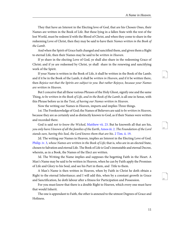They that have an Interest in the Electing love of God, that are his Chosen Ones, their Names are written in the Book of Life. But these lying in a fallen State with the rest of the lost World, must be redeem'd with the Blood of Christ, and when they come to share in the redeeming Love of Christ, then they may be said to have their Names written in the Book of the Lamb.

And when the Spirit of Grace hath changed and sanctified them, and given them a Right to eternal Life, then their Names may be said to be written in Heaven.

If ye share in the electing Love of God, ye shall also share in the redeeming Grace of Christ; and if ye are redeemed by Christ, ye shall share in the renewing and sanctifying work of the Spirit.

If your Name is written in the Book of Life, it shall be written in the Book of the Lamb; and if it be in the Book of the Lamb, it shall be *written in Heaven*, and if it be written there, then Rejoice not that the Spirits are subject to you: But rather Rejoyce, because your Names are written in Heaven.

But I conceive that all these various Phrases of the Holy Ghost, signify one and the same Thing, to be written in the Book of Life, and in the Book of the Lamb, is all one in Sense, with this Phrase before us in the Text, of having our Names written in Heaven.

Now the writing our Names in Heaven, imports and implies Three things.

<span id="page-14-1"></span><span id="page-14-0"></span>1st. The Foreknowledge of God; the Names of Believers are said to be written in Heaven, because they are as certainly and as distinctly known to God, as if their Names were written and recorded there.

<span id="page-14-3"></span><span id="page-14-2"></span>God is said *not to know the Wicked*, [Matthew vii. 23.](http://www.ccel.org/study/Bible:Matt.7.23) But he knoweth all that are his, you only have I known of all the families of the Earth, [Amos iii. 2.](http://www.ccel.org/study/Bible:Amos.3.2) The Foundation of the Lord stands sure, having this Seal, the Lord knows them that are his. [2 Tim. ii. 19](http://www.ccel.org/study/Bible:2Tim.2.19).

2d. The writing our Names in Heaven, implies an Interest in the Electing Love of God. [Philip. iv. 3](http://www.ccel.org/study/Bible:Phil.4.3), whose Names are written in the Book of Life; that is, who are in an elected State, chosen to Salvation and eternal Life. The Book of Life is God's immutable and eternal Decree, wherein, as in a Book, the Names of the Elect are written.

3d. The Writing the Name implies and supposes the begetting Faith in the Heart. A Man's Name may be said to be written in Heaven, when he can by Faith apply the Promises of Life and Glory to his Soul, and see his Part in them, and Title to them.

A Man's Name is then written in Heaven, when by Faith in Christ he doth obtain a Right to the eternal Inheritance; and I will add this, when by a constant growth in Grace and Sanctification, he doth labour after a fitness for Participation and Possession.

For you must know that there is a double Right to Heaven, which every one must have that would Inherit.

The one is appendant to Faith, the other is annexed to the utmost Degrees of Grace and Holiness.

<span id="page-14-6"></span><span id="page-14-5"></span><span id="page-14-4"></span>19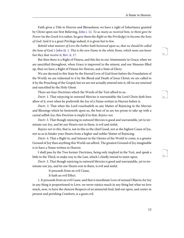<span id="page-15-4"></span><span id="page-15-3"></span>22

<span id="page-15-5"></span>23

<span id="page-15-0"></span>Faith gives a Title to Heaven and Blessedness; we have a right of Inheritance granted by Christ upon our first Believing, [John i. 12.](http://www.ccel.org/study/Bible:John.1.12) To as many as received him, to them gave he Power (in the Greek it is rather, he gave them the Right or the Priviledge) to become the Sons of God: And it is a great Privilege indeed, it is given but to few.

<span id="page-15-2"></span><span id="page-15-1"></span>Behold what manner of Love the Father hath bestowed upon us, that we should be called the Sons of God, [1 John iii. 1.](http://www.ccel.org/study/Bible:1John.3.1) This is the new Name in the white Stone, which none can know but they that receive it, [Rev. ii. 17](http://www.ccel.org/study/Bible:Rev.2.17).

But then there is a Right of Fitness, and this lies in our Attainments in Grace; when we are sanctified throughout, when Grace is improved to the utmost, and our Measure filled up, then we have a Right of Fitness for Heaven, and a State of Glory.

We are decreed to this State by the Eternal Love of God from before the Foundation of the World; we are redeemed to it by the Blood and Death of Jesus Christ; we are called to it by the Preaching of the Gospel; but we are not actually entered into it, till we are renewed and sanctified by the Holy Ghost.

There are four Doctrines which the Words of the Text afford to us.

Doctr. 1. That rejoycing in outward Mercies is warrantable; the Lord Christ doth here allow of it, even when he preferreth the Joy of a Name written in Heaven before it.

Doctr. 2. That when the Lord vouchsafeth us any Matter of Rejoicing in the Mercies and Blessings which he bestoweth upon us, the best of us are too prone to take up with a carnal selfish Joy; this Doctrine is imply'd in that, Rejoice not.

Doctr. 3. That though rejoicing in outward Mercies is good and warrantable, yet to terminate our Joy, and let our Hearts rest in them, is evil and sinful.

Rejoice not in this, that is, not in this as the chief Good, not as the highest Cause of Joy, not so as to hinder your Hearts from a higher and nobler Matter of Rejoicing.

Doctr. 4. That a Right to, and Interest in the Glories of the World to come, is a greater Ground of Joy than anything this World can afford. The greatest Ground of Joy imaginable is to have a Name written in Heaven.

I shall pass by the Two former Doctrines, being only implyed in the Text, and speak a little to the Third, to make way to the Last, which I chiefly intend to insist upon.

Doctr. 3. That though rejoicing in outward Mercies is good and warrantable, yet to terminate our joy, and let our Hearts rest in them, is evil and sinful.

It proceeds from an evil Cause,

It hath an evil Effect.

1. It proceeds from an evil Cause, and that is inordinate Love of sensual Objects; for Joy in any thing is proportioned to Love, we never rejoice much in any thing but what we love much, now, to have the choicest Respects of an immortal Soul, laid out upon, and center in present and perishing Comforts, is a great evil.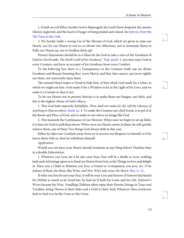<span id="page-16-5"></span><span id="page-16-4"></span>25

<span id="page-16-6"></span>26

<span id="page-16-7"></span>27

<span id="page-16-1"></span>2. It hath an evil Effect; hereby God is disparaged, the Lord Christ despised, the unseen Glories neglected, and the Soul in Danger of being misled and ruined. See [Job xxi. from the](http://www.ccel.org/study/Bible:Job.21.7-Job.21.15) [7th Verse to the 15th](http://www.ccel.org/study/Bible:Job.21.7-Job.21.15).

3. We hereby make a wrong Use of the Mercies of God, which are given to raise our Hearts, not for our Hearts to rest in; to elevate our Affections, not to terminate them; to Pully our Hearts up, not to Swallow them up!

<span id="page-16-2"></span>Present Injoyments should be as a Glass for the Soul to take a view of the Goodness of God in; David saith, The Earth is full of his Goodness," [Psal. xxxiii. 5.](http://www.ccel.org/study/Bible:Ps.33.5) you may injoy God in every Creature, and have an account of his Goodness from every Comfort.

To the believing Eye, there is a Transparency in the Creature; Faith can see divine Goodness and Bounty beaming thro' every Mercy; and they that cannot, can never rightly use them, nor innocently injoy them.

The sensual Heart makes a Cloud to hide him, of that which God made for a Glass, in which we might see him. God made it for a Window to let in the Light of his Love, and we make it a Curtain to shut it out.

<span id="page-16-0"></span>To let our Hearts rest in present Mercies is to make them our Images, our Idols, and this is the highest Abuse of God's Mercy.

1. This God hath expressly forbidden, Thou shall not make for thy self the Likeness of anything in Heaven above. [Exod. xx. 4.](http://www.ccel.org/study/Bible:Exod.20.4) To make the Creature our chief Good, is to put it in the Room and Place of God, and to make to our selves an Image like God.

2. This hazzards the Continuance of our Mercies: When once we begin to set up Idols, it is time for God to pull them down: When once our Hearts center in them, he will quickly remove them, one of these Two things God always doth in this case.

Either he takes our Comforts away from us to recover our Respects to himself, or if he leaves them with us, then he withdraws himself.

#### Application.

Would you not have your Hearts should terminate in any thing below? Hearken then to a double Exhortation.

<span id="page-16-3"></span>1. Whatever you Love, let it be also your Fear; Fear will be a Bridle to Love, nothing hath such Advantage upon us to Steal our Hearts from God, as the Things we love and delight in. Have you a Child or Relation you love, a Friend or Ccompanion you love,  $\mathcal{C}c$ . O be jealous of them, for these, like Wine, and New Wine take away the Heart. [Hos. iv. 11](http://www.ccel.org/study/Bible:Hos.4.11).

If what you love be not your Fear, it will be your Loss and Sorrow; if Samson had feared his Delilah as much as he loved her, he had sav'd both his Locks and his Life. Solomon's Wives became his Woe, Fondling Children often repay their Parents Dotage in Tears and Troubles, being Thorns in their Sides and a Grief to their Soul: Whatever thou overlovest look to find it to be thy Cross or thy Curse.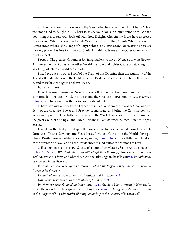<span id="page-17-10"></span><span id="page-17-9"></span>29

<span id="page-17-11"></span>30

2. Then live above the Pleasures of thy Sense; what have you no nobler Delights? Have you not a God to delight in? A Christ to solace your Souls in Communion with? What a poor thing it is to put your Souls off with those Delights wherein the Bruits have as great a share as you. Where is peace with God? Where is joy in the Holy Ghost? Where is Peace of Conscience? Where is the Hope of Glory? Where is a Name written in Heaven? These are the only proper Pastime for immortal Souls. And this leads me to the Observation which I chiefly aim at.

Doctr. 4. The greatest Ground of Joy imaginable is to have a Name written in Heaven. An Interest in the Glories of the other World is a truer and nobler Cause of rejoycing than any thing which this World can afford.

I need produce no other Proof of the Truth of this Doctrine than the Authority of the Text it self; it stands clear in the Light of its own Evidence; the Lord Christ himself hath said it, and therefore we ought to believe it is so.

But why is it so?

<span id="page-17-8"></span>Reas. 1. A Name written in Heaven is a rich Result of Electing Love. Love is the most comfortable Attribute in God, the best Name the Creature knows him by. God is Love, [1](http://www.ccel.org/study/Bible:1John.4.16) [John iv. 16](http://www.ccel.org/study/Bible:1John.4.16). There are three things to be considered in it.

1. Love acts with a Priority to all other Attributes; Wisdom contrives the Good and Felicity of the Creature; Power and Providence maturate, and bring the Contrivements of Wisdom to pass; but Love hath the first hand in the Work. It was Love that first summoned the great Counsel held by all the Three Persons in *Elohim*, when neither Men nor Angels existed.

<span id="page-17-1"></span><span id="page-17-0"></span>It was Love that first pitched upon the Son, and laid him as the Foundation of the whole Structure of Man's Salvation and Blessedness. Love sent Christ into the World, Love put him to Death, Love made him an Offering for Sin, [John iii. 16](http://www.ccel.org/study/Bible:John.3.16). All the Attributes of God act in the Strength of Love; and all the Providences of God follow the Motions of Love.

<span id="page-17-3"></span><span id="page-17-2"></span>2. Electing Love is the proper Source of all our other Mercies. So the Apostle makes it, [Ephes. 1st. 3d, 4th](http://www.ccel.org/study/Bible:Eph.1.3-Eph.1.4). Who hath blessed us with all spiritual Blessings; How so? according as he hath chosen us in Christ; and what those spiritual Blessings are he tells you [v. 6.](http://www.ccel.org/study/Bible:Eph.1.6) he hath made us accepted in the Beloved.

<span id="page-17-7"></span><span id="page-17-6"></span><span id="page-17-5"></span><span id="page-17-4"></span>In whom we have Redemption through his Blood, the forgiveness of Sins according to the Riches of his Grace, [v. 7.](http://www.ccel.org/study/Bible:Eph.1.7)

He hath abounded toward us in all Wisdom and Prudence. [v. 8](http://www.ccel.org/study/Bible:Eph.1.8).

Having made known to us the Mystery of his Will.  $v. 9$ .

In whom we have obtained an Inheritance, [v. 11.](http://www.ccel.org/study/Bible:Eph.1.11) that is, a Name written in Heaven. All which the Apostle resolves again into Electing Love, [verse 11](http://www.ccel.org/study/Bible:Eph.1.11). being predestinated according to the Purpose of him who works all things according to the Counsel of his own will.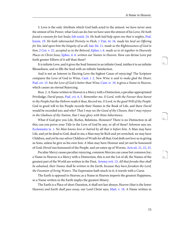<span id="page-18-14"></span><span id="page-18-13"></span><span id="page-18-12"></span>32

33

<span id="page-18-11"></span><span id="page-18-9"></span><span id="page-18-5"></span><span id="page-18-0"></span>3. Love is the only Attribute which God hath acted to the utmost: we have never seen the utmost of his Power, what God can do; but we have seen the utmost of his Love; He hath found a ransom for lost Souls; [Job xxxiii. 24](http://www.ccel.org/study/Bible:Job.33.24). He hath laid help upon one that is mighty, [Psal.](http://www.ccel.org/study/Bible:Ps.89.19) [lxxxix. 19.](http://www.ccel.org/study/Bible:Ps.89.19) He hath tabernacled Divinity in Flesh, [1 Tim. iii. 16](http://www.ccel.org/study/Bible:1Tim.3.16). made his Soul an Offering for Sin, laid upon him the Iniquity of us all, [Isai. liii. 11](http://www.ccel.org/study/Bible:Isa.53.11). made us the Righteousness of God in him, [2 Cor. v. 21](http://www.ccel.org/study/Bible:2Cor.5.21), accepted us in the Beloved, [Ephes. i. 6](http://www.ccel.org/study/Bible:Eph.1.6). made us to sit together in Heavenly Places in Christ Jesus, [Ephes. ii. 6.](http://www.ccel.org/study/Bible:Eph.2.6) written our Names in Heaven. How can divine Love put forth greater Efforts of it self than these?

<span id="page-18-10"></span>It is infinite Love, and it gives the Soul Interest in an infinite Good, intitles it to an infinite Blessedness, and so fills the Soul with an infinite Satisfaction.

<span id="page-18-4"></span><span id="page-18-1"></span>And is not an Interest in Electing Love the highest Cause of rejoycing? The Scripture compares the Love of God to Wine, [Cant. i. 2](http://www.ccel.org/study/Bible:Song.1.2). New Wine is said to make glad the Heart, [Psal. civ. 15](http://www.ccel.org/study/Bible:Ps.104.15). but the Love of God is better than Wine; [Cant. iv. 10](http://www.ccel.org/study/Bible:Song.4.10). it gives a Name in Heaven, which causes an eternal Rejoycing.

<span id="page-18-2"></span>Reas. 2. A Name written in Heaven is a Mercy with a Distinction, a peculiar appropriated Priviledge; David prays, [Psal. cvi. 4](http://www.ccel.org/study/Bible:Ps.106.4), [5](http://www.ccel.org/study/Bible:Ps.106.5). Remember me, O Lord, with the Favour thou barest to thy People; but the Hebrew reads it thus, Record me, O Lord, in the good Will of thy People. God in good will to his People records their Names in the Book of Life, and there David would be recorded too; and why? That I may see the Good of thy Chosen, that I may rejoyce in the Gladness of thy Nation, that I may glory with thine Inheritance.

<span id="page-18-8"></span><span id="page-18-3"></span>What if God give you Life, Riches, Relations, Honours? There is no Distinction in all this; can you prove your Title to the Love of God by any, or all of these? Solomon says no, [Ecclesiastes ix. 1](http://www.ccel.org/study/Bible:Eccl.9.1). No Man knows love or hatred by all that is before him. A Man may have Life, and yet be dead to God, dead in sin; a Man may be Rich and yet wretched, we may have Children, and yet be our selves Children of Wrath for all that; God doth not love us in giving us Sons, unless he give us his own Son: A Man may have Honour and yet not be honoured of God; Herod was honoured of the People, and yet eaten up of Worms, [Acts xii. 21,](http://www.ccel.org/study/Bible:Acts.12.21) [22](http://www.ccel.org/study/Bible:Acts.12.22), [23.](http://www.ccel.org/study/Bible:Acts.12.23)

<span id="page-18-6"></span>Peculiar Mercy causes peculiar rejoycing, common Mercies can cause but common Joy; a Name in Heaven is a Mercy with a Distinction, this is not the Lot of all, the Names of the greatest part of the World are written in the Dust, [Jeremy xvii. 13,](http://www.ccel.org/study/Bible:Jer.17.13) All that forsake thee shall be ashamed, their Names shall be written in the Earth, because they have forsaken the Lord, the Fountain of living Waters. The Expression hath much in it, it travels with a Curse.

<span id="page-18-7"></span>The Earth is opposed to Heaven; as a Name in Heaven imports the greatest Happiness, so a Name written in the Earth implys the greatest Misery.

The Earth is a Place of short Duration, it shall not last always; Heaven (that is the lower Heaven) *and Earth shall pass away*, our Lord Christ says, [Matt. v. 18](http://www.ccel.org/study/Bible:Matt.5.18). A Name written in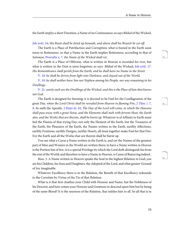<span id="page-19-9"></span><span id="page-19-8"></span>35

<span id="page-19-10"></span>36

<span id="page-19-0"></span>the Earth implys a short Duration, a Name of no Continuance; so says Bildad of the Wicked,

[Job xviii. 16](http://www.ccel.org/study/Bible:Job.18.16); His Roots shall be dried up beneath, and above shall his Branch be cut off.

<span id="page-19-5"></span>The Earth is a Place of Putrifaction and Corruption; what is buried in the Earth soon turns to Rottenness. so that a Name in the Earth implies Rottenness, according to that of Solomon, [Proverbs x. 7](http://www.ccel.org/study/Bible:Prov.10.7). the Name of the Wicked shall rot.

<span id="page-19-2"></span><span id="page-19-1"></span>The Earth is a Place of Oblivion, what is written in Heaven is recorded for ever, but what is written in the Dust is soon forgotten; so says *Bildad* of the Wicked, [Job xviii. 17.](http://www.ccel.org/study/Bible:Job.18.17) His Remembrance shall perish from the Earth, and he shall have no Name in the Street.

[V. 18](http://www.ccel.org/study/Bible:Job.18.18). he shall be driven from light into Darkness, and chased out of the World.

<span id="page-19-4"></span><span id="page-19-3"></span>[V. 19](http://www.ccel.org/study/Bible:Job.18.19). he shall neither have Son nor Nephew among his People, nor any remaining in his Dwellings.

<span id="page-19-6"></span>[V. 21.](http://www.ccel.org/study/Bible:Job.18.21) surely such are the Dwellings of the Wicked, and this is the Place of him that knows not God.

<span id="page-19-7"></span>The Earth is designed for burning; it is decreed to be Fuel for the Conflagration of the great Day, when the Lord Christ shall be revealed from Heaven in flaming Fire, [2 Thes. i. 7,](http://www.ccel.org/study/Bible:2Thess.1.7) [8](http://www.ccel.org/study/Bible:2Thess.1.8). So saith the Apostle, [2 Peter iii. 10](http://www.ccel.org/study/Bible:2Pet.3.10), The Day of the Lord will come, in which the Heavens shall pass away with a great Noise, and the Elements shall melt with fervent Heat, the Earth also, and the Works that are therein, shall be burnt up. Whatever is of Affinity to Earth must feel the Flames of that trying Day; not only the Element of the Earth, but the Treasures of the Earth, the Pleasures of the Earth, the Names written in the Earth, earthly Affections, earthly Fruitions, earthly Designs, earthly Hearts, all must together make Fuel for that Fire: For the Earth and all the Works that are therein shall be burnt up.

You see what a Curse a Name written in the Earth is, and yet the Names of the greatest part of Men and Women in the World are written there; to have a Name written in Heaven is the Portion but of few, it is a special Privilege by which the Lord doth distinguish his from the rest of the World; and therefore to have a Name in Heaven, is Cause of Rejoycing indeed..

Reas. 3. A Name written in Heaven speaks the Soul in the highest Relation to God; you are his Children, his Sons and Daughters, the Adopted of the Lord, and what greater Ground of Joy imaginable

Whatever Excellency there is in the Relation, the Benefit of that Excellency redounds to the Correlate by Virtue of the Tie of that Relation.

What is it that first cloathes your Child with Honour and Name, but the Nobleness of his Descent; and how comes your Honour and Greatness to descend upon him but by being of the same Blood? It is the nearness of the Relation, that intitles him to all. So all that is in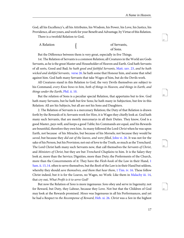<span id="page-20-12"></span><span id="page-20-11"></span><span id="page-20-10"></span>39

40

God, all his Excellency's, all his Attributes, his Wisdom, his Power, his Love, his Justice, his Providence, all are yours, and work for your Benefit and Advantage, by Virtue of this Relation.

There is a twofold Relation to God,

<span id="page-20-9"></span>of Servants, of Sons. { A Relation

But the Difference between them is very great, especially in five Things.

<span id="page-20-4"></span><span id="page-20-3"></span>1st. The Relation of Servants is a common Relation; all Creatures in the World are Gods Servants, as he is the great Master and Householder of Heaven and Earth. God hath Servants of all sorts, Good and Bad; he hath good and faithful Servants, [Matt. xxv. 23,](http://www.ccel.org/study/Bible:Matt.25.23) and he hath wicked and slothful Servants, [verse 26.](http://www.ccel.org/study/Bible:Matt.25.26) he hath some that Honour him, and some that rebel against him. God hath many Servants that take Wages of him, but do the Devils work.

<span id="page-20-6"></span>All Creatures stand in this Relation to God, the very Devils themselves are subject to his Command, every Knee bows to him, both of things in Heaven, and things in Earth, and things under the Earth, [Phil. ii. 10.](http://www.ccel.org/study/Bible:Phil.2.10)

But the relation of Sons is a peculiar special Relation, that appertains but to few. God hath many Servants, but he hath but few Sons; he hath many in Subjection, but few in this Relation: All are his Subjects, but all are not his Sons and Daughters.

<span id="page-20-5"></span><span id="page-20-0"></span>2. The Relation of Servants is a mercenary Relation; the Duty of that Relation is drawn forth by the Rewards of it; Servants work for Hire, it is Wages they chiefly look at. God hath many such Servants, that are meerly mercenarys in all their Duties. They know, God is a good Master, pays well, and keeps a good Table; his Commands are equal, and his Rewards are bountiful, therefore they own him. As many followed the Lord Christ when he was upon Earth, not because of his Miracles, but because of his Morsels; not because they would be saved, but because they did eat of the loaves, and were filled, [John vi. 26](http://www.ccel.org/study/Bible:John.6.26). It was not for the sake of his Person, but his Provision; not out of love to the Truth, so much as the Trenchard. The Lord Christ hath many such Servants now, that call themselves the Servants of Christ, and Ministers of Christ, but they are but Trenchard-Chaplains to him. It is the Salary they look at, more than the Service; Dignities, more than Duty; the Preferments of the Church, more than the Concernments of it: They have the *Flesh-hook* of the Law in their Hand, [1](http://www.ccel.org/study/Bible:1Sam.2.13) [Sam. ii. 13,](http://www.ccel.org/study/Bible:1Sam.2.13) [14.](http://www.ccel.org/study/Bible:1Sam.2.14) often to serve themselves, but the Book of the Law is in their Hand but seldom, whereby they should save themselves, and them that hear them, [1 Tim. iv. 16.](http://www.ccel.org/study/Bible:1Tim.4.16) These follow Christ indeed, but it is for the Loaves, no Wages, no Work: Like them in [Malachy iii. 14,](http://www.ccel.org/study/Bible:Mal.3.14) that cry out, What Profit is it to serve God?

<span id="page-20-8"></span><span id="page-20-7"></span><span id="page-20-2"></span><span id="page-20-1"></span>But now the Relation of Sons is more ingenuous: Sons obey and serve in Ingenuity; not for Reward, but Duty, they Labour, because they Love. Not but that the Children of God may look at the Rewards promised. Moses was Ingenuous in all his Performances, and yet he had a Respect to the Recompense of Reward, [Heb. xi. 26](http://www.ccel.org/study/Bible:Heb.11.26). Christ was a Son in the highest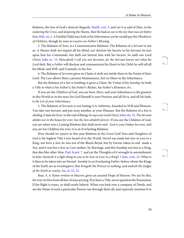<span id="page-21-8"></span><span id="page-21-7"></span>42

<span id="page-21-9"></span>43

<span id="page-21-6"></span><span id="page-21-3"></span>Relation, the Son of God's choicest Regards, [Matth. xvii. 5.](http://www.ccel.org/study/Bible:Matt.17.5) and yet it is said of Him, in his enduring the Cross, and despising the Shame, that He had an eye to the Joy that was set before him, [Heb. xii. 2](http://www.ccel.org/study/Bible:Heb.12.2). A Dutiful Child may look at his Inheritance; yet he would pay the Obedience of Children, though he were to receive no Father's Blessing.

<span id="page-21-5"></span>3. The Relation of Sons, is a Communicative Relation: The Relation of a Servant is not so. A Master doth not impart all his Mind, nor disclose his Secrets to his Servant; he lays upon him his Commands, but doth not betrust him with his Secrets. So saith our Lord Christ, [John xv. 15.](http://www.ccel.org/study/Bible:John.15.15) Henceforth I call you not Servants, for the Servant knows not what his Lord doth. But a Father will disclose and communicate his Heart to his Child; he will tell all his Mind, and Will, and Counsels, to his Son.

4. The Relation of Servants gives no Claim; it doth not intitle them to the Estate of their Lord: The Law allows them a present Maintenance, but no Share in the Inheritance.

But the Relation of a Son is Intitling; it gives a Claim. By Virtue of his Sonship, he hath a Title to what is his Father's; his Father's Riches, his Father's Honours, &c.

If you are the *Children of God*, you are born *Heirs*, and your Inheritance is the greatest in this World or in the next; for God Himself is your Portion; and all He is, and all He hath, is the Lot of your Inheritance.

<span id="page-21-4"></span>5. The Relation of Servants is not lasting; it is Arbitrary, founded in Will and Pleasure: You take one Servant, and put away another, at your Pleasure. But the Relation of a Son is abiding, it lasts for Ever, to the end of Being: So says our Lord Christ, [John viii. 35,](http://www.ccel.org/study/Bible:John.8.35) The Servant abides not in the house for ever, but the Son abideth forever. If you are the Children of God, you are taken into a Lasting Relation that shall never end: God is your Father for ever, and you are his Children for ever; it is an Everlasting Relation.

<span id="page-21-2"></span><span id="page-21-1"></span><span id="page-21-0"></span>How should we rejoyce in this near Relation to the Great God! Sons and Daughters of God is the highest Title I ever heard of in the World. David was made but Son-in-Law to a King, not born a Son; he was not of the Blood-Royal, but by Favour taken in and made a Son, and it was but a Son-in-Law neither, by Marriage, and this Sonship was but to a King, that dies like other Men, [Psal. lxxxii. 7.](http://www.ccel.org/study/Bible:Ps.82.7) and yet the Thoughts of it wrought to astonishment in him: Seemeth it a light thing to you to be Son-in-Law to a King? [1 Sam. xviii. 23.](http://www.ccel.org/study/Bible:1Sam.18.23) What is it then to be taken into an Eternal Sonship to an Everlasting Father, before whom the Kings of the Earth are as Grashoppers; that bringeth the Princes to nothing, and maketh the Judges of the Earth as vanity, [Isa. xl. 22,](http://www.ccel.org/study/Bible:Isa.40.22) [23](http://www.ccel.org/study/Bible:Isa.40.23).

Reas. 4. A Name written in Heaven, gives an assured Hope of Heaven: We are by this, for ever set free from all fear of miscarrying. If ye have a Title, never question the Possession: If the Right is yours, ye shall surely Inherit. When you look over a company of Deeds, and see the Name of such a particular Person run through them all, and expressly mention'd in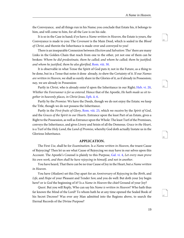<span id="page-22-6"></span><span id="page-22-5"></span>45

<span id="page-22-7"></span>46

<span id="page-22-8"></span>47

the Conveyance, and all things run in his Name; you conclude that Estate his, it belongs to him, and will come to him, for all the Law is on his side.

It is so in the Case in hand; if ye have a Name written in Heaven, the Estate is yours, the Conveyance is made to you: The Covenant is the Main Deed, which is sealed in the Blood of Christ, and therein the Inheritance is made-over and conveyed to you!

<span id="page-22-1"></span>There is an inseparable Connexion between *Election* and *Salvation*: Tho' there are many Links in the Golden-Chain that reach from one to the other, yet not one of them can be broken: Whom he did predestinate, them he called; and whom he called; them he justified; and whom he justified, them he also glorified, [Rom. viii. 30](http://www.ccel.org/study/Bible:Rom.8.30).

<span id="page-22-4"></span>It is observable in what Tense the Spirit of God puts it; not in the Future, as a thing to be done, but in a Tense that notes it done already, to shew the Certainty of it. If our Names are written in Heaven, we shall as surely share in the Glories of it, as if already in Possession; nay, we are already in Possession:

<span id="page-22-3"></span>Partly in Christ, who is already enter'd upon the Inheritance in our Right; [Heb. vi. 20,](http://www.ccel.org/study/Bible:Heb.6.20) Whither the Forerunner is for us entered. Hence that of the Apostle, He hath made us sit together in heavenly places, in Christ Jesus, [Eph. ii. 6.](http://www.ccel.org/study/Bible:Eph.2.6)

<span id="page-22-0"></span>Partly by the Promise: We have the Deeds, though we do not enjoy the Estate; we keep the Title, though we do not possess the Inheritance.

Partly in the First-fruits of Glory, [Rom. viii. 23,](http://www.ccel.org/study/Bible:Rom.8.23) which we receive by the Spirit of God, and the Graces of the Spirit in our Hearts. Entrance upon the least Part of an Estate, gives a Right to the Possession, as well as Entrance upon the Whole: The least Turf of the Premisses, conveys the Inheritance, and gives Livery and Seisin of all the Demesus. Grace in the Heart, is a Turf of the Holy Land, the Land of Promise, whereby God doth actually Instate us in the Glorious Inheritance.

#### **APPLICATION.**

<span id="page-22-2"></span>The First Use, shall be for Examination. Is a Name written in Heaven, the truest Cause of Rejoycing? Then let us see what Cause of Rejoycing we may have in our selves upon this Account. The Apostle's Counsel is plainly to this Purpose, [Gal. vi. 4,](http://www.ccel.org/study/Bible:Gal.6.4) Let every man prove his own work, and then shall he have rejoycing in himself, and not in another.

You have heard, That there can be no true Cause of Joy in the Heart, but a Name written in Heaven.

You have (Madam) set this Day apart for an Anniversary of Rejoycing in the Birth, and Life, and Hope of your Pleasant and Tender Son; and you do well: But doth your Joy begin here? or is God the beginning of it? Is a Name in Heaven the chief Ground of your Joy?

Quest. But you will Reply, Who can say his Name is written in Heaven? Who hath thus far known the Mind of the Lord? To whom hath he at any time opened the Sealed Book of his Secret Decrees? Was ever any Man admitted into the Regions above, to search the Eternal Records of the Divine Purpose?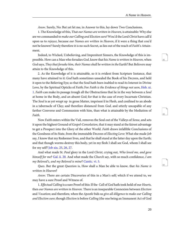<span id="page-23-5"></span><span id="page-23-4"></span>49

<span id="page-23-6"></span>50

Answ. Surely, No: But yet let me, in Answer to this, lay down Two Conclusions.

1. The Knowledge of this, That our Names are written in Heaven, is attainable: Why else are we commanded to make our Calling and Election sure? Wou'd the Lord Christ have call'd upon us to rejoyce, because our Names are written in Heaven, if it were a thing that cou'd not be known? Surely therefore it is no such Secret, as lies out of the reach of Faith's Attainment.

Indeed, to Wicked, Unbelieving, and Impenitent Sinners, the Knowledge of this is impossible. How can a Man who forsakes God, know that his Name is written in Heaven, when God says, They that forsake him, their Names shall be written in the Earth? But Believers may attain to the Knowledge of this.

<span id="page-23-3"></span>2. As the Knowledge of it is attainable, so it is evident from Scripture Instance, that many have attained to it: God hath sometimes unsealed the Book of his Decrees, and held it open to the Believing Eye; so that the Soul hath been inabled to read its Interest in Divine Love, by the Spiritual Opticks of Faith; For Faith is the Evidence of things not seen, [Heb. xi.](http://www.ccel.org/study/Bible:Heb.11.1) [1](http://www.ccel.org/study/Bible:Heb.11.1). Faith can make its passage trough all the Obstructions that lie in the way between a Soul at home in the Body, and an absent God; for that is the case of every Incarnate Christian. The Soul is as yet wrapt up in gross Matter, imprison'd in Flesh, and confined to an abode in a tabernacle of Clay; and therefore distanced from God, and utterly uncapable of any farther Converse and Communion with him, than what is attainable by the Mediation of Faith.

<span id="page-23-0"></span>Now Faith enters within the Vail, removes the Soul out of the Valleys of Sense, and sets it upon the highest Ground of Gospel-Consolation, that it may stand at the fairest advantage to get a Prospect into the Glory of the other World. Faith draws infallible Conclusions of the Goodness of its State, from the immutable Decrees of Electing Love: What else made Job say, I know that my Redeemer lives, and that he shall stand at the latter day upon the Earth; and that though worms destroy this body, yet in my flesh I shall see God, whom I shall see for my self? [Job xix. 25,](http://www.ccel.org/study/Bible:Job.19.25) [26](http://www.ccel.org/study/Bible:Job.19.26), [27.](http://www.ccel.org/study/Bible:Job.19.27)

<span id="page-23-2"></span><span id="page-23-1"></span>And what made St. Paul glory in the Lord Christ, crying out, Who loved me, and gave himself for me? [Gal. ii. 20.](http://www.ccel.org/study/Bible:Gal.2.20) And what made the Church say, with so much confidence, I am my Beloved's, and my Beloved is mine? [Cantic. vi. 3](http://www.ccel.org/study/Bible:Song.6.3).

Ques. But the great Question is, How shall a Man be able to know, that his Name is written in Heaven?

Answ. There are certain Discoveries of this in a Man's self; which if we attend to, we may have a sure Proof and Witness of.

1. Effectual Calling is a sure Proof of this: If the Call of God hath took hold of our Hearts, then our Names are written in Heaven. There is an inseparable Connexion between Election and Vocation; and therefore, when the Apostle bids us give all diligence to make our Calling and Election sure; though Election is before Calling (the one being an Immanent Act of God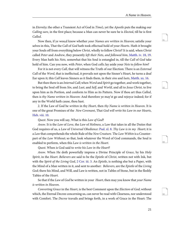<span id="page-24-6"></span><span id="page-24-5"></span>52

<span id="page-24-7"></span>53

<span id="page-24-8"></span>54

in *Eternity*; the other a Transient Act of God in *Time*), yet the *Apostle* puts the making our Calling sure, in the first place; because a Man can never be sure he is Elected, till he is first Called.

<span id="page-24-1"></span>Now then, if ye wou;d know whether your Names are written in Heaven; satisfie your selves in this, That the *Call* of God hath took effectual hold of your *Hearts*. Hath it brought your Souls off from everything below Christ, wholly to follow Christ? It is said, when Christ called Peter and Andrew, they presently left their Nets, and followed him, [Matth. iv. 18,](http://www.ccel.org/study/Bible:Matt.4.18) [19.](http://www.ccel.org/study/Bible:Matt.4.19) Every Man hath his Nets, somewhat that his Soul is entangled in, till the Call of God take hold of him. Can you now, with Peter, when God calls; lay aside your Nets to follow him?

<span id="page-24-2"></span>For it is not every Call, that will witness the Truth of our Election: There is an External Call of the Word, that is ineffectual, it prevails not upon the Sinner's Heart, he turns a deaf Ear upon it; this Call leaves Sinners as it finds them, in their sins and lusts, [Matth. xx. 16.](http://www.ccel.org/study/Bible:Matt.20.16)

But then there is an Internal Call; when Word and Spirit go together, and work together, to bring the Soul off from Sin, and Lust, and Self, and World, and all to Jesus Christ, to live upon him as its Portion, and conform to Him as its Pattern. Now if thou art thus Called, then is thy Name written in Heaven: And therefore ye may'st go and rejoyce indeed; for if any in the World hath cause, thou hast.

<span id="page-24-4"></span>2. If the Law of God be written in thy Heart, then thy Name is written in Heaven. It is one of the great Promises of the New Covenant, That God will write his Law in our Hearts, [Heb. viii. 10](http://www.ccel.org/study/Bible:Heb.8.10).

Quest. Now you will say, What is this Law of God?

<span id="page-24-0"></span>Answ. It is the Law of Love, the Law of Holiness, a Law that takes in all the Duties that God requires of us, a Law of Universal Obedience: [Psal. xl. 8.](http://www.ccel.org/study/Bible:Ps.40.8) Thy Law is in my Heart; it is a Law that comprehends the whole Rule of the New Creature. The Law Within is a Counterpart of the Law Without; so that, look whatever the Word of God commands, the Soul is enabled to perform, when this Law is written in the Heart.

Quest. When is God said to write his Law in the Heart?

<span id="page-24-3"></span>Answ. When He doth powerfully impress a Divine Principle of Grace, by his Holy Spirit, in the Heart. Believers are said to be the Epistle of Christ, written not with Ink, but with the Spirit of the Living God,  $2$  Cor. iii. 3. An Epistle, is nothing else but a Paper, with the Mind of a Man written in it, and sent to another: *Believers*, are the *Epistle* of the Living God; there his Mind, and Will, and Law is written, not in Tables of Stone, but in the fleshly Tables of the Heart.

So that if the Law of God be written in your Heart, then may you know that your Name is written in Heaven.

Converting Grace in the Heart, is the best Comment upon the Election of God; without which, the Eternal Decree concerning us, can never be read with Clearness, nor understood with Comfort. The Decree travails and brings forth, in a work of Grace in the Heart: The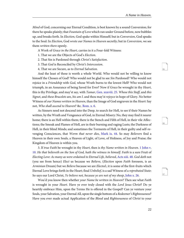<span id="page-25-7"></span><span id="page-25-6"></span>56

<span id="page-25-8"></span>57

Mind of God, concerning our Eternal Condition, is best known by a sound Conversion; for there he speaks plainly; that *Fountain of Love* which ran under Ground before, now bubbles up, and breaks forth. In Election, God spake within Himself; but in Conversion, God speaks to the Soul: In Election, God wrote our Names in Heaven secretly; but in Conversion, we see them written there openly.

A Work of Grace in the Heart, carries in it a Four-fold Witness:

- 1. That we are the Objects of God's Election.
- 2. That Sin is Pardoned through Christ's Satisfaction.
- 3. That God is Reconciled by Christ's Intercession.

4. That we are Secure, as to Eternal Salvation.

<span id="page-25-0"></span>And the least of these is worth a whole World. Who would not be willing to know himself the Chosen of God? Who would not be glad to see Sin Pardoned? Who would not rejoice in a Friendship with God, whose Wrath burns to the lowest Hell? Who would not triumph, in an Assurance of being Saved for Ever? Now if Grace be wrought in thy Heart, this is thy Privilege, and may'st say, with *Tamar*, [Gen. xxxviii. 25.](http://www.ccel.org/study/Bible:Gen.38.25) Whose this Staff, and this Signet, and these Bracelets are, his am I. and thou may'st rejoyce in hope of Glory. No better Witness of our Names written in Heaven, than the Image of God engraven in the Heart: Say not, Who shall ascend to Heaven? &c. [Rom. x. 6](http://www.ccel.org/study/Bible:Rom.10.6).

<span id="page-25-4"></span><span id="page-25-1"></span>As Sinners need not descend into the Deep, to search for Hell, to see if their Names be written, by the Wrath and Vengeance of God, in Eternal Misery: No, they may find it nearer home; there is an Hell within them; there is the Stench and Filth of Hell, in their vile Affections; the Smoak and Flames of Hell, are in their burning and raging Lusts; the Darkness of Hell, in their blind Minds; and sometimes the Torments of Hell, in their guilty and self-revenging Consciences, that Worm that never dies, [Mark ix. 44.](http://www.ccel.org/study/Bible:Mark.9.44) So may Believers find a Heaven in their own Souls, a Heaven of Light, of Love, of Holiness, of Joy and Praise; the Kingdom of Heaven is within you.

<span id="page-25-5"></span><span id="page-25-3"></span><span id="page-25-2"></span>3. If true Faith be wrought in thy Heart, then is thy Name written in Heaven. [1 John v.](http://www.ccel.org/study/Bible:1John.5.10) [10.](http://www.ccel.org/study/Bible:1John.5.10) He that believeth on the Son of God, hath the witness in himself. Faith is a sure Fruit of Electing Love: As many as were ordained to Eternal Life, believed, [Acts xiii. 48.](http://www.ccel.org/study/Bible:Acts.13.48) God doth not (you see from hence) Elect us because we Believe, (Election upon Faith foreseen, is an Arminian Dream) but we Believe because we are Elected.; it is some of the first-fruits which Eternal Love brings forth in the Heart; final Unbelief, is a sad Witness of a reprobated State: So says our Lord Christ, Ye believe not, because ye are not of my sheep, [John x. 26.](http://www.ccel.org/study/Bible:John.10.26)

Wou'd you know then whether your Name be written in Heaven? Then see what Faith is wrought in your *Heart*. Have ye ever truly closed with the Lord Jesus Christ? Do ye heartily embrace Him, upon the Terms He is offered in the Gospel? Can ye venture your Souls, your Salvation, your Eternal All, upon the single bottom of a Redeemer's Righteousness? Have you ever made actual Application of the Blood and Righteousness of Christ to your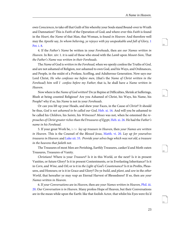<span id="page-26-9"></span><span id="page-26-8"></span><span id="page-26-7"></span>60

61

<span id="page-26-6"></span><span id="page-26-5"></span>own Consciences, to take off that Guilt of Sin whereby your Souls stand Bound-over to Wrath and Damnation? This is Faith of the Operation of God; and where-ever this Faith is found in the Heart, the Name of that Man, that Woman, is found in Heaven: And therefore well may the Apostle say, In whom believing, ye rejoyce with joy unspeakable and full of Glory, [1](http://www.ccel.org/study/Bible:1Pet.1.8) [Pet. i. 8](http://www.ccel.org/study/Bible:1Pet.1.8).

4. If the Father's Name be written in your Foreheads, then are our Names written in Heaven. In Rev. xiv: 1. it is said of those who stood with the Lamb upon Mount-Sion, That the Father's Name was written in their Foreheads.

The Name of God is written in the Forehead, when we openly confess the Truths of God, and are not ashamed of Religion, nor ashamed to own God, and his Ways, and Ordinances, and People, in the midst of a Profane, Scoffing, and Adulterous Generation. Now says our Lord Christ, He who confesses me before men, (that's the Name of Christ written in the Forehead) him will I confess before my Father; that is, he shall have a Name written in Heaven.

<span id="page-26-3"></span>Now where is the Name of God written? Do ye Repine at Difficulties, Shrink at Sufferings, Blush at being counted Religious? Are you Ashamed of Christ, his Ways, his Name, his People? why if so, his Name is not in your Foreheads.

<span id="page-26-4"></span>Or can you lift up your Heads, and shew your Faces, in the Cause of Christ? It should be thus, God is not ashamed to be called our God, [Heb. xi. 16.](http://www.ccel.org/study/Bible:Heb.11.16) And will you be ashamed to be called his Children, his Saints, his Witnesses? Moses was not, when he esteemed the reproaches of Christ greater riches than theTtreasures of Egypt, [Heb. xi. 26](http://www.ccel.org/study/Bible:Heb.11.26). He had the Father's name in his Forehead.

<span id="page-26-1"></span><span id="page-26-0"></span>5. If your great Work be, is to lay up treasure in Heaven, then your Names are written in Heaven. This is the Counsel of the Blessed Jesus, [Matth. vi. 20](http://www.ccel.org/study/Bible:Matt.6.20). Lay up for yourselves treasures in Heaven: and [Luke xii. 33.](http://www.ccel.org/study/Bible:Luke.12.33) Provide your selves bags which wax not old, a treasure in the heavens that faileth not.

The Treasures of most Men are Perishing, Earthly Treasures, canker'd and Moth-eaten Treasures, Treasures of Vanity.

<span id="page-26-2"></span>Christians! Where is your Treasure? Is it in this World, or the next? Is it in present Vanities, or future Glory? Is it in present Contentments, or in Everlasting Inheritance? Is it in Corn, and Wine, and Oil; or is it in the Light of God's Countenance? Is it in Profits, Pleasures, and Honours; or is it in Grace and Glory? Do ye *build*, and *plant*, and *sow* in the *other* World, that hereafter ye may reap an Eternal Harvest of Blessedness? If so, then are your Names written in Heaven.

6. If your Conversations are in Heaven, then are your Names written in Heaven, [Phil. iii.](http://www.ccel.org/study/Bible:Phil.3.20) [20.](http://www.ccel.org/study/Bible:Phil.3.20) Our Conversation is in Heaven. Many profess Hope of Heaven, but their Conversations are in the mean while upon the Earth: like that foolish Actor, that whilst his Eyes were fix'd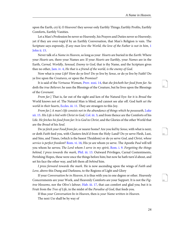upon the Earth, cry'd, O Heavens! they savour only Earthly Things; Earthly Profits, Earthly Comforts, Earthly Vanities.

<span id="page-27-9"></span>Let a Man's Profession be never so Heavenly, his Prayers and Duties never so Heavenly; yet if they are over-topp'd by an Earthly Conversation, that Man's Religion is vain. The Scripture says expressly, If any man love the World, the love of the Father is not in him, [1](http://www.ccel.org/study/Bible:1John.2.15) [John ii. 15](http://www.ccel.org/study/Bible:1John.2.15).

<span id="page-27-8"></span>Never talk of a Name in Heaven, so long as your Hearts are buried in the Earth: Where your Hearts are, there your Names are: If your Hearts are Earthly, your Names are in the Earth, Carnal, Worldly, Sensual, Enemy to God, that is thy Name, and the Scripture gives thee no other, [Jam. iv. 4,](http://www.ccel.org/study/Bible:Jas.4.4) He that is a friend of the world, is the enemy of God.

<span id="page-27-0"></span>Now what is your Life? How do ye live? Do ye live by Sense, or do ye live by Faith? Do ye live upon the Creatures, or upon the Promises?

It is said of the Vertuous Woman, [Prov. xxxi. 14](http://www.ccel.org/study/Bible:Prov.31.14), that she fetcheth her food from far. So doth the true Believer; he uses the Blessings of the Creature, but he lives upon the Blessings of the Covenant.

<span id="page-27-7"></span><span id="page-27-3"></span><span id="page-27-1"></span>From far.] That is, far out of the sight and ken of the Natural Eye: for it is Bread the World knows not of. The Natural Man is blind, and cannot see afar off. God hath set the world in their hearts, [Eccles. iii. 11.](http://www.ccel.org/study/Bible:Eccl.3.11) They are strangers to this Joy.

From far.] A man's life consists not in the abundance of things which he possesseth, [Luke](http://www.ccel.org/study/Bible:Luke.12.15) [xii. 15](http://www.ccel.org/study/Bible:Luke.12.15). His Life is hid with Christ in God, [Col. iii. 3](http://www.ccel.org/study/Bible:Col.3.3); and from thence are the Comforts of his Life. He fetches his food from far: It is God in Christ, and the Glories of the other World that are the Bread of his Soul.

<span id="page-27-6"></span><span id="page-27-5"></span><span id="page-27-4"></span>Do ye fetch your Food from far, or nearer home? Are you fed by Sense, with what is next; or doth Faith feed you, with Clusters fetch'd from the Holy-Land? Do ye serve Flesh, Lust, and Sins, and Times, (which is the basest Thraldom) or do ye serve God, and Christ, whose service is perfect freedom? [Rom. vi. 16;](http://www.ccel.org/study/Bible:Rom.6.16) His ye are whom ye serve. The Apostle Paul will tell you whom he serves; The Lord whom I serve in my spirit, [Rom. i. 9](http://www.ccel.org/study/Bible:Rom.1.9). Forgetting the things behind, I press towards the mark, [Phil. iii. 13.](http://www.ccel.org/study/Bible:Phil.3.13) Outward Privileges, Carnal Contentments, Perishing Hopes, these were once the things before him; but now he hath turn'd about, and set his face the other way, and left them all *behind* him.

<span id="page-27-2"></span>I press forward towards the mark. He is now ascending upon the wings of Faith and Love, above this Dung and Darkness, to the Regions of Light and Glory

If your Conversation be in Heaven, it is thus with you in one degree or other. Heavenly Concernments are your Work, and Heavenly Comforts are your Support. It is not the Figtree blossoms, nor the Olive's labour, [Hab. iii. 17,](http://www.ccel.org/study/Bible:Hab.3.17) that can comfort and glad you; but it is Fruit from the *Tree of Life*, in the midst of the *Paradise of God*, that feeds you.

If thus your Conversation be in Heaven, then is your Name written in Heaven. The next Use shall be by way of

<span id="page-27-12"></span><span id="page-27-11"></span><span id="page-27-10"></span>63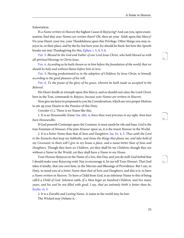<span id="page-28-10"></span><span id="page-28-9"></span><span id="page-28-8"></span>66

67

Exhortation.

IS a Name written in Heaven the highest Cause of Rejoycing? And can you, upon examination, find that your Names are written there? Oh, then set your Selah upon this Mercy! Fix your Heart, your Joy, your Thankfulness upon this Privilege. Other things you may rejoyce in, in their place, and by the by; but here your *Joy* should be fixed. See how the *Apostle* breaks out into Thanksgiving for this, [Ephes. i. 3](http://www.ccel.org/study/Bible:Eph.1.3), [4,](http://www.ccel.org/study/Bible:Eph.1.4) [5,](http://www.ccel.org/study/Bible:Eph.1.5) [6](http://www.ccel.org/study/Bible:Eph.1.6).

<span id="page-28-5"></span><span id="page-28-4"></span><span id="page-28-3"></span>[Ver. 3.](http://www.ccel.org/study/Bible:Eph.1.3) Blessed be the God and Father of our Lord Jesus Christ, who hath blessed us with all spiritual blessings in Christ Jesus.

<span id="page-28-6"></span>[Ver. 4](http://www.ccel.org/study/Bible:Eph.1.4). According as he hath chosen us in him before the foundation of the world; that we should be holy and without blame before him in love.

<span id="page-28-7"></span>[Ver. 5](http://www.ccel.org/study/Bible:Eph.1.5). Having predestinated us to the adoption of Children, by Jesus Christ, to himself, according to the good pleasure of his will.

[Ver. 6](http://www.ccel.org/study/Bible:Eph.1.6). To the praise of the glory of his grace, wherein he hath made us accepted in the Beloved.

His Heart dwells in triumph upon this Mercy; and so should ours also; the Lord Christ, here in the Text, commands it; Rejoyce, because your Names are written in Heaven.

<span id="page-28-1"></span>Now give me leave to propound to you Six Considerations, which are very proper Motives to stir up your Hearts to the Practice of this Duty.

Consider (1.), There is no Name like this.

1. It is an Honourable Name: [Isa. xliii. 4](http://www.ccel.org/study/Bible:Isa.43.4), Since thou wast precious in my sight, thou hast been Honourable.

<span id="page-28-2"></span>If God poureth Contempt upon the Creature, it must needs be vile and base: God is the true Fountain of Honour; if he puts Honour upon us, it is the truest Honour in the World.

2. It is a better Name than that of Sons and Daughters: [Isa. lvi. 4,](http://www.ccel.org/study/Bible:Isa.56.4) [5](http://www.ccel.org/study/Bible:Isa.56.5). Thus saith the Lord to the Eunuchs that keep my Sabbaths, and chuse the things that please me, and take hold of my Covenant; to them will I give in my house a place, and a name better than of Sons and Daughters. Though they have no Children, yet they shall be my Children; though they are without a Name in the World, yet they shall have a Name in my House.

<span id="page-28-0"></span>Your Honour Rejoyces in the Name of a Son, this Day; and you do well: God forbid that I should make your Rejoycing void: Nay to encourage it, let me tell Your Honour, That God takes it kindly, that you own him, in the Mercies and Blessings of Providence. But I am, in Duty, to mind you of a better Name than that of Sons and Daughters; and this is it, to have a Name written in Heaven. To have a Child from God, is an inferiour Name to this of being call'd a Child of God. Solomon saith, If a Man beget an hundred Children, and live many years, and his soul be not filled with good, I say, that an untimely birth is better than he, [Eccles. vi. 3](http://www.ccel.org/study/Bible:Eccl.6.3).

3. It is a Durable and Lasting Name. A name in the world may be lost: The Wicked may Defame it.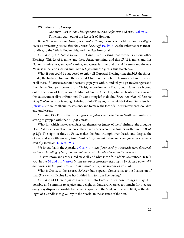<span id="page-29-1"></span>Wickedness may Corrupt it.

<span id="page-29-7"></span><span id="page-29-6"></span>God may Blast it: Thou hast put out their name for ever and ever, [Psal. ix. 5.](http://www.ccel.org/study/Bible:Ps.9.5) Time may eat it out of the Records of Honour.

<span id="page-29-2"></span>But a Name written in Heaven, is a durable Name, it can never be blotted out: I will give them an everlasting Name, that shall never be cut off, Isa. Ivi. 5. As the Inheritance is Incorruptible, so the Title is Unalterable, and the Heir Immortal.

Consider, (2.) A Name written in Heaven, is a Blessing that sweetens all our other Blessings. This Land is mine, and these Riches are mine, and this Child is mine, and this Honour is mine: yea, and God is mine, and Christ is mine, and the white Stone and the new Name is mine, and Heaven and Eternal Life is mine: Ay, this, this sweetens all.

What if you could be supposed to enjoy all Outward Blessings imaginable? the fairest Estate, the highest Honours, the sweetest Children, the richest Pleasures; yet in the midst of all these, if Conscience should secretly gripe you within, and tell you ye are Strangers and Enemies to God, ye have no part in Christ, no portion in his Death, your Names are blotted out of the Book of Life, ye are Children of God's Curse: Oh, what a Heart-sinking would this cause, under all your Fruitions! This one thing left in doubt, I know not what will become of my Soul to Eternity, is enough to bring us into Streights, in the midst of all our Sufficiencies, [Job xx. 22](http://www.ccel.org/study/Bible:Job.20.22), to soure all our Possessions, and to make the face of all our Enjoyments look dim and unpleasant.

<span id="page-29-0"></span>Consider, (3.) This is that which gives confidence and comfort in Death, and makes us strong to grapple with that King of Terrors.

<span id="page-29-8"></span><span id="page-29-5"></span><span id="page-29-3"></span>What is it which makes even Believers themselves (many of them) shrink at the thoughts Death? Why it is want of Evidence, they have never seen their Names written in the Book of Life. The sight of this, by Faith, makes the Soul triumph over Death, and despise the Grave, and say with Simeon, Now, Lord, let thy servant depart in peace, for mine eyes have seen thy salvation, [Luke ii. 29,](http://www.ccel.org/study/Bible:Luke.2.29) [30](http://www.ccel.org/study/Bible:Luke.2.30).

<span id="page-29-4"></span>We know, (saith the Apostle,  $2$  Cor. v. 1.) that if our earthly tabernacle were dissolved, we have a building of God, a house not made with hands, eternal in the heavens.

This we know, and are assured of; Well, and what is the fruit of this Assurance? He tells you, in the [2d and 4th Verses:](http://www.ccel.org/study/Bible:1Cor.5.2 Bible:1Cor.5.4) In this we groan earnestly, desiring to be clothed upon with our house which is from Heaven, that mortality might be swallowed up of life.

<span id="page-29-9"></span>What is Death, to the assured Believer, but a speedy Conveyance to the Possession of that Glory which Divine Love has Intitled him to from Everlasting?

Consider, (4.) Herein Joy can never run into Excess: In temporal things it may; it is possible and common to rejoice and delight in Outward Mercies too much; for they are every way disproportionable to the vast Capacity of the Soul; as unable to fill it, as the dim Light of a Candle is to give Day to the World, in the absence of the Sun.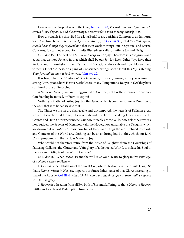<span id="page-30-6"></span><span id="page-30-5"></span><span id="page-30-4"></span>73

74

<span id="page-30-0"></span>Hear what the Prophet says in the Case, [Isa. xxviii. 20,](http://www.ccel.org/study/Bible:Isa.28.20) The bed is too short for a man to stretch himself upon it, and the covering too narrow for a man to wrap himself in it.

<span id="page-30-2"></span>How unsuitable is a short Bed for a long Body! so are perishing Comforts to an Immortal Soul. And from hence it is that the *Apostle* adviseth, (in [1 Cor. vii. 30.](http://www.ccel.org/study/Bible:1Cor.7.30)) That they that rejoyce, should be as though they rejoyced not; that is, in worldly things. But in Spiritual and Eternal Concerns, Joy cannot exceed; for infinite Blessedness calls for infinite Joy and Delight.

<span id="page-30-1"></span>Consider, (5.) This will be a lasting and perpetuated Joy. Therefore it is congruous and equal that we now Rejoyce in that which shall be our  $Joy$  for Ever. Other Joys have their Periods and Intermissions, their Terms, and Vacations; they ebb and flow, blossom and wither; a Fit of Sickness, or a pang of Conscience, extinguishes all: but this *Joy* is abiding; Your joy shall no man take from you, [John xvi. 22.](http://www.ccel.org/study/Bible:John.16.22)

It is true, That the Children of God have many causes of sorrow, if they look inward; strong Corruptions, hard Hearts, weak Graces, many Temptations: But yet in God they have continual cause of Rejoycing.

A Name in Heaven, is an induring ground of Comfort; not like these transient Shadows. Can Stability be moved, or Eternity expire?

Nothing is Matter of lasting Joy, but that Good which is commensurate in Duration to the Soul that is to be satisfy'd with it.

The Times we live in are changeable and uncomposed; the hatreds of Religion great; we see Distractions at Home, Distresses abroad; the Lord is shaking Heaven and Earth, Church and State: Our Experience tells us how mutable are the Wills, how fickle the Favours, how sudden the Frowns of Men; how vain the Hopes, how unsuitable the Delights, which are drawn out of broken Cisterns; how full of Dross and Dregs the most refined Comforts and Contents of the World are. Nothing can be an enduring Joy, but this, which our Lord Christ propounds in the Text, as Matter of Joy.

Who would not therefore retire from the Noise of Laughter, from the Courtships of flattering Gallants, the Clutter and Vain-glory of a distracted World, to solace his Soul in the Joys and Delights of the World to come?

<span id="page-30-3"></span>Consider, (6.) What Heaven is; and that will raise your Hearts to glory in this Privilege, of a Name written in Heaven.

1. Heaven is the Habitation of the Great God, where He dwells in his Infinite Glory. So that a Name written in Heaven, imports our future Inheritance of that Glory; according to that of the Apostle, [Col. iii. 4](http://www.ccel.org/study/Bible:Col.3.4). When Christ, who is our life shall appear, then shall we appear with him in glory.

2. Heaven is a freedom from all Evil both of Sin and Suffering; so that a Name in Heaven, intitles us to a blessed Redemption from all Evil.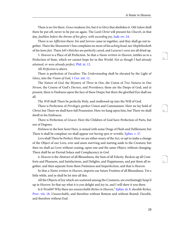<span id="page-31-7"></span><span id="page-31-6"></span>76

<span id="page-31-8"></span>77

<span id="page-31-5"></span>There is no Sin there. Grace weakens Sin, but it is Glory that abolishes it. Old Adam shall there be put off, never to be put on again. The Lord Christ will present his Church, in that day, faultless before the throne of his glory, with exceeding joy, [Jude](http://www.ccel.org/study/Bible:Jude.1.24) ver. 24.

There is no *Affliction* there: *Sin* and *Sorrow* came in together, and they shall go out together. There the Shunamite's Son complains no more of his aching head, nor Mephibosheth of his lame feet. There Job's blotches are perfectly cured, and Lazarus's sores are all dried up.

<span id="page-31-4"></span>3. Heaven is a Place of all Perfection. So that a Name written in Heaven, intitles us to a Perfection of State, which we cannot hope for in this World: Not as though I had already attained, or were already perfect, [Phil. iii. 12.](http://www.ccel.org/study/Bible:Phil.3.12)

All Perfection is above.

<span id="page-31-1"></span>There is perfection of *Faculties*: The *Understanding* shall be elevated by the Light of Glory, into the Vision of God, [1 Cor. xiii. 12](http://www.ccel.org/study/Bible:1Cor.13.12).

The Nature of God, the Mystery of Three in One, the Union of Two Natures in One Person, the Course of God's Decrees, and Providence; these are the Deeps of God, and at present, there is Darkness upon the face of these Deeps; but there the glorified Eye shall see all.

The Will shall There be perfectly Holy, and swallowed up into the Will of God.

There is Perfection of Privileges; perfect Union and Communion. Here we lay hold of Christ; but There we shall have full Possession: Here we hang upon him, but There we shall dwell in his Embraces.

<span id="page-31-3"></span>There is Perfection of Graces: Here the Children of God have Perfection of Parts, but not of Degrees.

Holiness in the best Saint Here, is mixed with some Dregs of Flesh and Defilement; but There it shall be compleat; we shall appear not having spot or wrinkle, [Ephes. v. 27](http://www.ccel.org/study/Bible:Eph.5.27).

Love shall There be Perfect: Here we are either weary of the Act, or apt to make a change of the Object of our Love, ever and anon swerving and starting aside to the Creature; but then we shall act Love without ceasing, upon one and the same Object, without changing. There shall be an Eternal Solace and Complacency in God.

4. Heaven is the Abstract of all Blessedness, the Sum of all Felicity. Reckon up all Comforts and Pleasures, and Satisfactions, and Delights, and Happinesses, and put them all together, and then separate from them Finiteness and Imperfection, and that is Heaven.

<span id="page-31-2"></span><span id="page-31-0"></span>So that a Name written in Heaven, imports our future Fruition of all Blessedness. Yet a little while, and ye shall be let into all this.

All the Objects of Joy which are scattered among the Creatures, are everlastingly heap'd up in *Heaven*: So that say what it is you delight and joy in, and I will shew it you there.

Is it Wealth? Why there are unsearchable Riches in Heaven," [Ephes. iii. 8.](http://www.ccel.org/study/Bible:Eph.3.8) durable Riches, [Prov. viii. 18.](http://www.ccel.org/study/Bible:Prov.8.18) Unsearchable, and therefore without Bottom and without Bound: Durable, and therefore without End.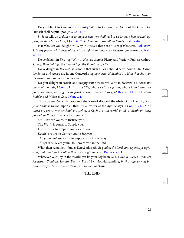<span id="page-32-12"></span><span id="page-32-11"></span><span id="page-32-10"></span>80a

80b

<span id="page-32-9"></span><span id="page-32-7"></span>Do ye delight in *Honour* and Dignity? Why in *Heaven*, the *Glory* of the Great God Himself shall be put upon you, [Col. iii. 4](http://www.ccel.org/study/Bible:Col.3.4).

<span id="page-32-3"></span><span id="page-32-2"></span>St. John tells us, It doth not yet appear what we shall be; but we know, when he shall appear, we shall be like him, [1 John iii. 2](http://www.ccel.org/study/Bible:1John.3.2). Such honour have all his Saints, [Psalm cxlix. 9.](http://www.ccel.org/study/Bible:Ps.149.9)

<span id="page-32-0"></span>Is it Pleasure you delight in? Why in Heaven there are Rivers of Pleasures, [Psal. xxxvi.](http://www.ccel.org/study/Bible:Ps.36.8) [8](http://www.ccel.org/study/Bible:Ps.36.8). In thy presence is fulness of Joy; at thy right-hand there are Pleasures for evermore, [Psalm](http://www.ccel.org/study/Bible:Ps.16.11) [xvi. 11.](http://www.ccel.org/study/Bible:Ps.16.11)

Do ye delight in Feasting? Why in Heaven there is Plenty and Variety, Fulness without Satiety; Bread of Life, the Tree of Life, the Fountain of Life.

Do ye delight in Musick? (it is not fit that such a Feast should be without it:) In Heaven the Saints and Angels are in one Concord, singing eternal Halelujah's to Him that sits upon the throne, and to the Lamb for ever.

<span id="page-32-8"></span><span id="page-32-6"></span><span id="page-32-5"></span>Do you delight in stately and magnificent Structures? Why in Heaven is a house not made with hands,  $2$  Cor. v. 1. This is a City, whose walls are jaspar, whose foundations are precious-stones, whose gates are pearl, whose streets are pure gold, [Rev. xxi. 18,](http://www.ccel.org/study/Bible:Rev.21.18) [19,](http://www.ccel.org/study/Bible:Rev.21.19) [21](http://www.ccel.org/study/Bible:Rev.21.21). whose Builder and Maker is God, [2 Cor. v. 1.](http://www.ccel.org/study/Bible:2Cor.5.1)

<span id="page-32-4"></span>Thus you see Heaven is the Comprehension of all Good, the Abstract of all Felicity. And your Name is written upon all this; it is all yours, as the Apostle says, [1 Cor. iii. 21,](http://www.ccel.org/study/Bible:1Cor.3.21) [22.](http://www.ccel.org/study/Bible:1Cor.3.22) All things are yours, whether Paul, or Apollos, or Cephas, or the world, or life, or death, or things present, or things to come, all are yours.

Ministers are yours, to Instruct you.

The World is yours, to Supply you.

Life is yours, to Prepare you for Heaven.

Death is yours, to Convey you to Heaven.

<span id="page-32-1"></span>Things present are yours, to Support you in the Way.

Things to come are yours, to Reward you in the End.

What then remaineth? but as *David* adviseth, Be glad in the Lord, and rejoyce, ye right-eous, and shout for joy, all ye that are upright in heart, [Psalm xxxii. 11](http://www.ccel.org/study/Bible:Ps.32.11).

Whatever ye enjoy in the World, yet let your Joy be in God. Have ye Riches, Honours, Pleasures, Children, Health, Beauty, Parts? &c. Notwithstanding, in this rejoyce not; but rather rejoyce, because your Names are written in Heaven.

#### **THE END**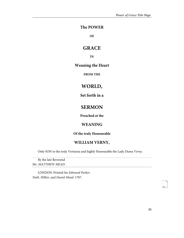## <span id="page-33-0"></span>**The POWER**

**OF**

# **GRACE**

**IN**

## **Weaning the Heart**

**FROM THE**

# **WORLD,**

**Set forth in a**

# **SERMON**

**Preached at the**

## **WEANING**

**Of the truly Honourable**

### **WILLIAM VERNY,**

Only SON to the truly Vertuous and highly Honourable the Lady Diana Verny.

By the late Reverend Mr. MATTHEW MEAD.

LONDON: Printed for Edmund Parker, Nath. Hillier, and Daniel Mead. 1707.

<span id="page-33-1"></span>80c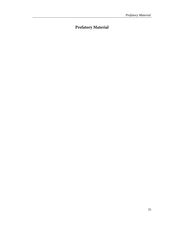# <span id="page-34-0"></span>**Prefatory Material**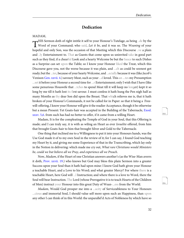## **Dedication**

#### <span id="page-35-0"></span>MADAM,

<span id="page-35-1"></span>This sermon doth of right initia it self to your Honour's Tutelage, as being ...de by the<br>Word of your Command; who said, Let it be, and it was so. The Weaning of your HIS Sermon doth of right intitle it self to your Honour's Tutelage, as being ..de by the hopeful and only Son, was the occasion of that Meeting which this Discourse ..ve a plain and ..ly Entertainment to. That as Guests that come upon us uninvited take in good part such as they find, if a chearful Look and a hearty Welcome be but the Sauce to such Dishes as a Surprize can set upon the Table; so I know your Honour liked the Treat, which this Discourse gave you, not the worse because it was plain, and ...ch as could be soonest got ready; but the ...ter, because of your hearty Welcome, and ...ecially because it was (like *Jacob's* Venison [Gen. xxvii. 4.](http://www.ccel.org/study/Bible:Gen.27.4)) savoury Meat, such as your ...d loved. This an ...tes my Presumption ...set it before your Honour a second time for ...r Entertainment; only I wish that I have (like some penurious Houswife that ...tches to spend Meat till it will keep no longer) kept it so long by me till it hath lost its first savour. I must confess it hath hung the Pen nigh half as many Months as thy dear Son did upon the Breast. That which relieves me is, that it hath broken of your Honour's Commands, it not be called for in Paper: so that it being a Freewill-offering, I know your Honour will give it the readier Acceptance, though it be otherwise but a mean Present: Yet Goats-hair was accepted in the Building of the Tabernacle, [Exod.](http://www.ccel.org/study/Bible:Exod.35.5) [xxxv. 5,](http://www.ccel.org/study/Bible:Exod.35.5)[6.](http://www.ccel.org/study/Bible:Exod.35.6) from such has had no better to offer, if it came from a willing Heart.

<span id="page-35-3"></span><span id="page-35-2"></span>Madam, It is for the compleating the Temple of God in your Soul, that this Offering is made; and I can truly say, it is with as wiling an Heart as ever *Israelite* offered, from him that brought Goats-hair to him that brought Silver and Gold to the Tabernacle.

<span id="page-35-4"></span>One thing that inclined me to a Willingness to put it into your Honours hands, was the Use God made it of to my own Soul in the review of it; for I can say, I found God teaching my Heart by it, and giving me some Experience of that in the Transcribing, which lay only in the Notion in delivering: which made me cry out, What rare Christians would Ministers be, could we but believe all we Pray, and experience all we Preach.

Now, Madam, if the Heart of one Christian answers another's (as the Wise-Man averrs it doth, [Prov. xxvii. 19.](http://www.ccel.org/study/Bible:Prov.27.19)) who knows but God may bless this plain Sermon into a greater Success upon your Soul than it hath had upon mine: I know God hath given your Honour a teachable Heart, and a Love to his Word; and what greater Mercy? For where there is a teachable Heart, here God will ...l Instruction; and where there is a love to Word, there the Soul will bear Instruction. The Lord (whose Prerogative it is to teach Hearts of the Children of Men) instruct your Honour into this great Duty of Wean-...ess from the World.

Madam, Would God prosper me into a ...acity of Serviceableness to Your Honours ...cious and immortal Soul, I should value self more upon such an Happiness, than upon any other I can think of in this World: the unparallel'd Acts of Nobleness by which have so <span id="page-35-5"></span>80d

<span id="page-35-6"></span>80e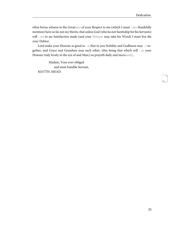often borne witness to the Greatness of your Respect to me (which I must ...ays thankfully mention) have so far out my Merits, that unless God (who ha not Suretiship for his Servants) will ...ise to see Satisfaction made (and your Honour may take his Word) I must live die your Debtor.

Lord make your Honour as good as ...t, that in you Nobility and Godliness may ...t together, and Grace and Grandure may each other, (this being that which will ...er your Honour truly lovely in the eye of and Man;) so prayeth daily and incessantly,

<span id="page-36-0"></span>Madam, Your ever obliged and most humble Servant, MATTH. MEAD.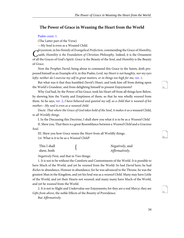#### <span id="page-37-0"></span>**The Power of Grace in Weaning the Heart from the World**

#### <span id="page-37-1"></span>[Psalm cxxxi. 1.](http://www.ccel.org/study/Bible:Ps.131.1)

(The Latter part of the Verse)

—My Soul is even as a Weaned Child.

Chrysostom, in his Homily of Evangencal Perfection, commending the Grace of Humility,<br>Saith, Humility is the Foundation of Christian Philosophy. Indeed, it is the Ornament hrysostom, in his Homily of Evangelical Perfection, commending the Grace of Humility, of all the Graces of God's Spirit: Grace is the Beauty of the Soul, and Humility is the Beauty of Grace.

<span id="page-37-2"></span>Now the Prophet David, being about to commend this Grace to the Saints, doth propound himself as an Example of it, in this Psalm; Lord, my Heart is not haughty, nor my eyes lofty: neither do I exercise my self in great matters, or in things too high for me, [ver. 1](http://www.ccel.org/study/Bible:Ps.131.1).

But what was it that thus humbled David's Heart, and took him off from doting upon the World's Grandeur, and from delighting himself in present Enjoyments?

<span id="page-37-3"></span>Why God had, by the Power of his Grace, took his Heart off from all things here Below, by shewing him the Vanity and Emptiness of them; so that he was wholly weaned from them. So he says, [ver. 2,](http://www.ccel.org/study/Bible:Ps.131.2) I have behaved and quieted my self, as a child that is weaned of his mother:--My soul is even as a weaned child.

Doctr. That where the Grace of God takes hold of the Soul, it makes it as a weaned Child, to all Worldly things.

I. In the Discussing this Doctrine, I shall shew you what it is to be as a Weaned Child.

II. Shew you, That there is a great Resemblance between a Weaned Child and a Gracious Soul.

III. Shew you how Grace weans the Heart from all Worldly things. 1st. What is it to be as a Weaned Child?

| This I shall | Negatively, and |
|--------------|-----------------|
| shew, both   | Affirmatively.  |

Negatively First, and that in Two things:

1. It is not to be without the Comforts and Contentments of the World. It is possible to have Much of the World, and yet be *weaned* from the World: So had *David* here; he had Riches in abundance, Honour in abundance, for he was advanced to the Throne, he was the greatest Man in the Kingdom, and yet his Soul was as a weaned Child. Many may have Little of the World, and yet their Hearts not weaned; and many many have Much of the World, and yet be weaned from the World.

2. It is not to Slight and Undervalue our Enjoyments; for they are a real Mercy; they are Gifts from above, the noble Effects of the Bounty of Providence.

But Affirmatively.

<span id="page-37-4"></span>82

<span id="page-37-6"></span><span id="page-37-5"></span>83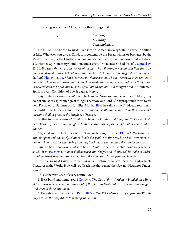This being as a weaned Child, carries three things in it:

{

## Content, Humility, Teachableness.

<span id="page-38-8"></span><span id="page-38-1"></span><span id="page-38-0"></span>1st. Content. To be as a weaned Child, is to be Content in every State, in every Condition of Life. Whatever you give a Child, it is content, be the Bread whiter or browner, be the Meat hot or cold, be the Cloathes finer or coarser. So that to be as a weaned Child, is to have a Contented Spirit in every Condition, under every Providence. So had David, [2 Samuel xv.](http://www.ccel.org/study/Bible:2Sam.15.25) [25,](http://www.ccel.org/study/Bible:2Sam.15.25) [26](http://www.ccel.org/study/Bible:2Sam.15.26). If I shall find favour in the eye of the Lord, he will bring me again: But if he thus say, I have no delight in thee: behold, here am I, let him do to me as seemeth good to him. So had St. Paul, [Phil. iv. 11](http://www.ccel.org/study/Bible:Phil.4.11), [12](http://www.ccel.org/study/Bible:Phil.4.12). I have learned, in whatsoever state I am, therewith to be content. I know both how to be abased, and I know how to abound: every where, and in all things I am instructed both to be full, and to be hungry, both to abound, and to suffer need. A Contented Spirit in every Condition of Life, is a great Mercy.

<span id="page-38-6"></span>2dly. To be as a weaned Child, is to be Humble. None so humble as little Children, they do not aim at or aspire after great things: Therefore our Lord Christ propounds them to his own Disciples for Patterns of Humility, [Matth. viii. 4.](http://www.ccel.org/study/Bible:Matt.8.4) he calls a little Child, and sets him in the midst of his Disciples, and tells them, Whoever shall humble himself as this little child, the same shall be great in the kingdom of heaven.

<span id="page-38-4"></span><span id="page-38-3"></span>So that to be as a weaned Child, is to be of an humble and lowly Spirit. So was David here: Lord, my heart is not haughty; I have behaved my self as a child that is weaned of his mother.

<span id="page-38-5"></span>Oh, what an excellent Spirit is this! Solomon tells us, [Prov. xvi. 19](http://www.ccel.org/study/Bible:Prov.16.19). It is better to be of an humble spirit with the lowly, than to divide the spoil with the proud. And in [Prov. xxix. 23.](http://www.ccel.org/study/Bible:Prov.29.23) he says, A man's pride shall bring him low, but honour shall uphold the humble in spirit.

3dly, To be as a weaned Child, is to be Teachable. None so Tractable, none so Teachable, as Children. [Isa. xxix. 8.](http://www.ccel.org/study/Bible:Isa.29.8) Whom shall he teach knowledge? and whom shall he make to understand doctrine? they that are weaned from the milk, and drawn from the breasts.

<span id="page-38-7"></span>To be a weaned Child, is to be Teachable: Naturally we are the most Unteachable Creatures in the World. How will you Teach one that can neither See, nor Hear, nor Understand?

This is the very Case of every natural Man.

<span id="page-38-2"></span>1. He is blind and cannot see, [2 Cor. iv. 4.](http://www.ccel.org/study/Bible:2Cor.4.4) The God of this World hath blinded the Minds of them which believe not, lest the Light of the glorious Gospel of Christ, who is the Image of God, should shine into them.

2. He is deaf and cannot hear, [Psal. lviii. 3,](http://www.ccel.org/study/Bible:Ps.58.3) [4](http://www.ccel.org/study/Bible:Ps.58.4). The Wicked are estranged from the Womb, they are like the deaf Adder that stoppeth her Ear.

<span id="page-38-11"></span><span id="page-38-10"></span><span id="page-38-9"></span>85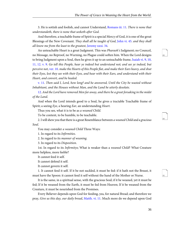<span id="page-39-8"></span>3. He is sottish and foolish, and cannot Understand, [Romans iii. 11.](http://www.ccel.org/study/Bible:Rom.3.11) There is none that understandeth, there is none that seeketh after God.

<span id="page-39-7"></span><span id="page-39-5"></span>And therefore, a teachable frame of Spirit is a special Mercy of God, it is one of the great Blessings of the New Covenant. They shall all be taught of God, [John vi. 45.](http://www.ccel.org/study/Bible:John.6.45) and they shall all know me from the least to the greatest, [Jeremy xxxi. 34](http://www.ccel.org/study/Bible:Jer.31.34).

<span id="page-39-2"></span><span id="page-39-1"></span><span id="page-39-0"></span>An unteachable Heart is a great Judgment. This was Pharaoh's Judgment; no Councel, no Message, no Reproof, no Warning, no Plague could soften him. When the Lord designs to bring Judgment upon a Soul, then he gives it up to an unteachable frame, [Isaiah vi. 9, 10,](http://www.ccel.org/study/Bible:Isa.6.9-Isa.6.12) [11, 12.](http://www.ccel.org/study/Bible:Isa.6.9-Isa.6.12) [v. 9.](http://www.ccel.org/study/Bible:Isa.6.9) Go tell this People, hear ye indeed but understand not; and see ye indeed, but perceive not, [ver. 10.](http://www.ccel.org/study/Bible:Isa.6.10) make the Hearts of this People flat, and make their Ears heavy, and shut their Eyes, lest they see with their Eyes, and hear with their Ears, and understand with their Heart, and convert, and be healed.

<span id="page-39-4"></span><span id="page-39-3"></span>[v. 11](http://www.ccel.org/study/Bible:Isa.6.11). Then said I, Lord, how long? and he answered, Until the City be wasted without Inhabitant, and the Houses without Man, and the Land be utterly desolate.

[12.](http://www.ccel.org/study/Bible:Isa.6.12) And the Lord have removed Men far away, and there be a great forsaking in the midst of the Land.

And when the Lord intends good to a Soul, he gives a tractable Teachable frame of Spirit; a seeing Eye, a hearing Ear, an understanding Heart.

Thus you see, what it is to be as a weaned Child.

To be content, to be humble, to be teachable.

2. I will shew you that there is a great Resemblance between a weaned Child and a gracious Soul.

You may consider a weaned Child Three Ways:

1. In regard to its Infirmities.

2. In regard to its manner of weaning.

3. In regard to its Disposition.

1st. In regard to its Infirmitys; What is weaker than a weaned Child? What Creature more helpless, more feeble?

It cannot feed it self.

It cannot defend it self.

It cannot govern it self.

1. It cannot feed it self. If it be not suckled, it must be fed: if it hath not the Breast, it must have the Spoon: it cannot feed it self without the hand of the Mother or Nurse.

<span id="page-39-6"></span>It is the same, in a spiritual sense, with the gracious Soul; if it be weaned, yet it must be fed; If it be weaned from the Earth, it must be fed from Heaven; If it be weaned from the Creature, it must be nourished from the Promises.

Every Believer depends upon God for feeding, yea, for natural Bread; and therefore we pray, Give us this day, our daily bread, [Matth. vi. 11.](http://www.ccel.org/study/Bible:Matt.6.11) Much more do we depend upon God <span id="page-39-9"></span>88

<span id="page-39-11"></span><span id="page-39-10"></span>89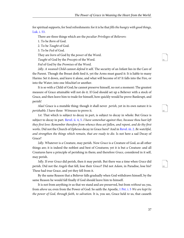<span id="page-40-0"></span>for spiritual supports, for Soul refreshments: for it is he that fills the hungry with good things, [Luk. i. 53.](http://www.ccel.org/study/Bible:Luke.1.53)

There are three things which are the *peculiar Privileges* of *Believers*:

1. To be Born of God.

<span id="page-40-4"></span>2. To be Taught of God.

3. To be Fed of God.

They are born of God by the power of the Word.

Taught of God by the Precepts of the Word.

<span id="page-40-5"></span>Fed of God by the Promises of the Word.

2dly. A weaned Child cannot defend it self. The security of an Infant lies in the Care of the Parent. Though the Breast doth feed it, yet the Arms must guard it: It is liable to many Harms: Set it down, and leave it alone, and what will become of it? It falls into the Fire, or into the Water; into one Mischief or another.

It is so with a Child of God; he cannot preserve himself, no not a moment: The greatest measure of Grace attainable will not do it. If God should set up a Believer with a stock of Grace, and then leave him to trade for himself, how quickly would he prove Bankrupt, and perish!

<span id="page-40-2"></span>Alas! Grace is a mutable thing: though it shall never *perish*, yet in its own nature it is perishable. I have three Witnesses to prove it.

<span id="page-40-3"></span>1st. That which is subject to decay in part, is subject to decay in whole: But Grace is subject to decay in part. [Revel. ii. 4,](http://www.ccel.org/study/Bible:Rev.2.4) [5](http://www.ccel.org/study/Bible:Rev.2.5). I have somewhat against thee, because thou hast left they first love: Remember therefore from whence thou art fallen, and repent, and do thy first works. Did not the Church of Ephesus decay in Grace here? And in [Revel. iii. 2](http://www.ccel.org/study/Bible:Rev.3.2). Be watchful, and strengthen the things which remain, that are ready to die. Is not here a sad Decay of Grace?

<span id="page-40-6"></span>2*dly*. Whatever is a Creature, may perish. Now *Grace* is a Creature of God, as all other things are; it is indeed the noblest and best of Creatures; yet it is but a Creature: and all Creatures have a principle of perishing in them; and therefore Grace, considered in it self, may perish.

3*dly*. If ever Grace did perish, then it may perish. But there was a time when Grace did perish. Did not the Angels that fell, lose their Grace? Did not Adam, in Paradise, lose his? These had true Grace, and yet they fell from it.

<span id="page-40-1"></span>By the same Reason that a Believer falls gradually when God withdraws himself, by the same Reason he would fall finally if God should leave him to himself.

It is not from anything *in* us that we stand and are preserved, but from *without* us; yea, from above us; even from the Power of God: So saith the Apostle, [1 Pet. i. 5](http://www.ccel.org/study/Bible:1Pet.1.5) We are kept by the power of God, through faith, to salvation. It is, you see, Grace held to us, that causeth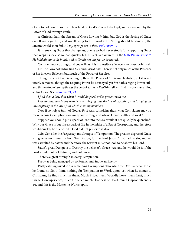Grace to hold out in us. Faith lays hold on God's Power to be kept, and we are kept by the Power of God through Faith.

<span id="page-41-1"></span>A Christian hath the Stream of Grace flowing in him; but God is the Spring of Grace ever flowing for him, and overflowing to him: And if the Spring should be shut up, the Stream would soon fail. All my springs are in thee, [Psal. lxxxvii. 7](http://www.ccel.org/study/Bible:Ps.87.7).

<span id="page-41-0"></span>It is renewing Grace that changes us, or else we had never stood: It is supporting Grace that keeps us, or else we had quickly fell. This David averreth in the [66th Psalm, Verse 9.](http://www.ccel.org/study/Bible:Ps.66.9) He holdeth our souls in life, and suffereth not our feet to be moved.

Consider but two things, and you will say, it is impossible a Believer can preserve himself:

1st. The Power of indwelling Lust and Corruption. There is not only much of the Presence of Sin in every Believer, but much of the Power of Sin also.

<span id="page-41-2"></span>Though where Grace is wrought, there the Power of Sin is much abated; yet it is not utterly removed: though the reigning Power be destroyed, yet Sin hath a raging Power still; and this too too often captivates the best of Saints: a *Paul* himself will find it, notwithstanding all his Grace. See [Rom. vii. 21](http://www.ccel.org/study/Bible:Rom.7.21), [23.](http://www.ccel.org/study/Bible:Rom.7.23)

I find then a law, that when I would do good, evil is present with me.

I see another law in my members warring against the law of my mind, and bringing me into captivity to the law of sin which is in my members.

Now if so holy a Saint of God as Paul was, complains thus; what Complaints may we make, whose Corruptions are many and strong, and whose Grace is little and weak?

Suppose you should put a spark of Fire into the Sea, would it not quickly be quenched? Why our Grace is but like a spark of fire in the midst of a Sea of Corruption, and therefore would quickly be quenched if God did not preserve it alive.

2dly, Consider the Frequency and Strength of Temptation. The greatest degree of Grace will give us no immunity from Temptation; for the Lord Jesus Christ had no sin, and yet was assaulted by Satan; and therefore the Servant must not look to be above his Lord.

Satan's great Design is to Destroy the believer's Grace; yea, and he would do it, if the Lord should not hold him in, and hold us up.

There is a great Strength in every Temptation.

Partly as being managed by so Potent, and Subtle an Enemy.

Partly as being suited to our remaining Corruptions. Tho' when the Devil came to Christ, he found no Sin in him, nothing for Temptation to Work upon; yet when he comes to Christians, he finds much in them. Much Pride, much Worldly Love, much Lust, much Carnal Concupiscence, much Unbelief, much Deadness of Heart, much Unprofitableness, &c. and this is the Matter he Works upon.

<span id="page-41-3"></span>94

<span id="page-41-5"></span><span id="page-41-4"></span>95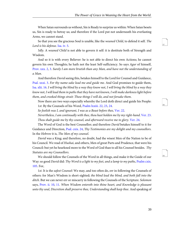<span id="page-42-11"></span>When Satan surrounds us without, Sin is Ready to surprize us within: When Satan besets us, Sin is ready to betray us; and therefore if the Lord put not underneath his everlasting Arms, we cannot stand.

<span id="page-42-9"></span>So that you see the gracious Soul is unable, like the weaned Child, to defend it self. The Lord is his defense. [Isa. iv. 5.](http://www.ccel.org/study/Bible:Isa.4.5)

3dly. A weaned Child is not able to govern it self: it is destitute both of Strength and Wisdom.

<span id="page-42-8"></span>And so it is with every Believer: he is not able to direct his own Actions; he cannot govern his own Thoughts; he hath not the least Self-sufficiency. So says Agur of himself, [Prov. xxx. 2](http://www.ccel.org/study/Bible:Prov.30.2), [3](http://www.ccel.org/study/Bible:Prov.30.3). Surely I am more brutish than any Man, and have not the understanding of a Man.

<span id="page-42-10"></span><span id="page-42-0"></span>And therefore *David* seeing this, betakes himself to the Lord for Counsel and Guidance, [Psal. xxxi. 3](http://www.ccel.org/study/Bible:Ps.31.3). For thy name-sake lead me and guide me. And God promises to guide them, [Isa. xlii. 16.](http://www.ccel.org/study/Bible:Isa.42.16) I will bring the blind by a way they know not, I will bring the blind by a way they know not, I will lead them in paths that they have not known, I will make darkness light before them, and crooked things strait: These things I will do, and not forsake them.

<span id="page-42-12"></span><span id="page-42-3"></span><span id="page-42-2"></span><span id="page-42-1"></span>Now there are two ways especially whereby the Lord doth direct and guide his People: 1st. By the Counsels of his Word, [Psalm lxxiii. 22](http://www.ccel.org/study/Bible:Ps.73.22), [23,](http://www.ccel.org/study/Bible:Ps.73.23) [24.](http://www.ccel.org/study/Bible:Ps.73.24)

<span id="page-42-4"></span>So foolish was I, and ignorant, I was as a Beast before thee, [Ver. 22](http://www.ccel.org/study/Bible:Ps.73.22).

<span id="page-42-13"></span><span id="page-42-5"></span>Nevertheless, I am continually with thee, thou hast holden me by my right-hand. [Ver. 23.](http://www.ccel.org/study/Bible:Ps.73.23) Thou shalt guide me by thy counsel, and afterward receive me to glory. [Ver. 24](http://www.ccel.org/study/Bible:Ps.73.24).

The Word of God is the best Counsellor; and therefore David betakes himself to it for Guidance and Direction, [Psal. cxix. 24,](http://www.ccel.org/study/Bible:Ps.119.24) Thy Testimonies are my delight and my counsellors. In the Hebrew it is, The Men of my counsel.

<span id="page-42-6"></span>David was a King; and therefore, no doubt, had the wisest Men of the Nation to be of his Council. We read of Hushai, and others, Men of great Parts and Prudence, that were his Council: but yet he hearkned more to the Word of God than to all his Counsel besides. Thy Statutes are my Counsellors.

We should follow the Counsels of the Word in all things, and make it the Guide of our Way: so good David did: Thy Word is a light to my feet, and a lamp to my paths, [Psalm cxix.](http://www.ccel.org/study/Bible:Ps.119.105) [105.](http://www.ccel.org/study/Bible:Ps.119.105) For,

<span id="page-42-7"></span>1st. It is the safest Counsel: We may, and too often do, err in following the Counsels of others: for Man's Wisdom is short-sighted; the blind lead the blind, and both fall into the ditch. But we can never err or miscarry in following the Counsels of the Scripture. Solomon says, [Prov. ii. 10,](http://www.ccel.org/study/Bible:Prov.2.10) [11](http://www.ccel.org/study/Bible:Prov.2.11). When Wisdom entereth into thine heart, and Knowledge is pleasant unto thy soul, Discretion shall preserve thee, Understanding shall keep thee. And speaking of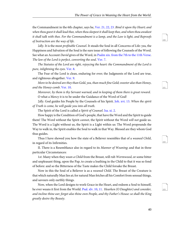<span id="page-43-0"></span>the Commandment in the 6th chapter, says he, [Ver. 21, 22, 23.](http://www.ccel.org/study/Bible:Ps.6.21-Ps.6.23) Bind it upon thy Heart; and when thou goest it shall lead thee, when thou sleepest it shall keep thee, and when thou awakest it shall talk with thee. For the Commandment is a lamp, and the Law is light, and Reproofs of Instruction are the way of life.

<span id="page-43-2"></span><span id="page-43-1"></span>2*dly*. It is the most *profitable Counsel*. It steads the Soul in all Concerns of Life: yea, the Happiness and Salvation of the Soul is the sure issue of following the Counsels of the Word. See what an Account David gives of the Word, in [Psalm xix. from the 7th to the 11th Verse.](http://www.ccel.org/study/Bible:Ps.19.7-Ps.19.11) The law of the Lord is perfect, converting the soul. [Ver. 7](http://www.ccel.org/study/Bible:Ps.19.7).

<span id="page-43-3"></span>The Statutes of the Lord are right, rejoycing the heart: the Commandment of the Lord is pure, inlightning the eyes. [Ver. 8.](http://www.ccel.org/study/Bible:Ps.19.8)

<span id="page-43-5"></span><span id="page-43-4"></span>The Fear of the Lord is clean, enduring for ever; the Judgments of the Lord are true, and righteous altogether. [Ver. 9](http://www.ccel.org/study/Bible:Ps.19.9).

<span id="page-43-8"></span>More to be desired are they than Gold, yea, than much fine Gold; sweeter also than Honey, and the Honey-comb. [Ver. 10.](http://www.ccel.org/study/Bible:Ps.19.10)

Moreover, by them is thy Servant warned; and in keeping of them there is great reward. O what a Mercy it is to be under the Guidance of the Word of God!

<span id="page-43-7"></span>2dly. God guides his People by the Counsels of his Spirit. [Joh. xvi. 13.](http://www.ccel.org/study/Bible:John.16.13) When the spirit of Truth is come, he will guide you into all truth.

The Spirit of the Lord is called a Spirit of Counsel. [Isa. xi. 2.](http://www.ccel.org/study/Bible:Isa.11.2)

How happy is the Condition of God's people, that have the Word and the Spirit to guide them! The Word without the Spirit *cannot*, the Spirit without the Word will not guide us. The Word is a Light without us, the Spirit is a Light within us: The Word propounds the Way to walk in, the Spirit enables the Soul to walk in that Way. Blessed are they whom God thus guides.

Thus I have shewed you how the state of a Believer resembles that of a *weaned Child*, in regard of its Infirmities.

II. There is a Resemblance also in regard to its *Manner of Weaning*; and that in three particular Circumstances:

1st. Many when they wean a Child from the Breast, will rub Wormwood, or some bitter and unpleasant thing, upon the Pap, to create a loathing in the Child to that it was so fond of before: and so the Bitterness of the Taste makes the Child forsake the Breast.

<span id="page-43-6"></span>Now in this the Soul of a Believer is as a weaned Child. The Breast of the Creature is that which naturally Man lies at; for natural Man fetches all his Comfort from sensual things, and savours only earthly things.

Now, when the Lord designs to work Grace in the Heart, and redeem a Soul to himself, he ever weans it first from the World. [Psal. xlv. 10,](http://www.ccel.org/study/Bible:Ps.45.10) [11](http://www.ccel.org/study/Bible:Ps.45.11). Hearken (O Daughter) and consider, and incline thine ear; forget also thine own People, and thy Father's House: so shall the King greatly desire thy Beauty.

<span id="page-43-9"></span>100

<span id="page-43-10"></span>101

<span id="page-43-12"></span><span id="page-43-11"></span>102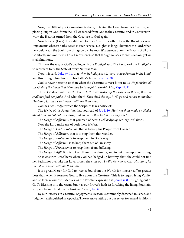Now, the Difficulty of Conversion lies here, in taking the Heart from the Creature, and placing it upon God: for in the Fall we turned from God to the Creature, and in Conversionwork the Heart is turned from the Creature to God again.

Now because (I say) this is difficult, for the Creature is loth to leave the Breast of carnal Enjoyments where it hath sucked in such sensual Delights so long: Therefore the Lord, when he would wean the Soul from things below, he rubs *Wormwood* upon the Breasts of all our Comforts, and imbitters all our Enjoyments; so that though we seek for Satisfaction, yet we shall find none.

<span id="page-44-4"></span>This was the way of God's dealing with the Prodigal Son. The Parable of the Prodigal is to represent to us the State of every Natural Man.

<span id="page-44-5"></span><span id="page-44-3"></span>Now, it is said, [Luke xv. 14.](http://www.ccel.org/study/Bible:Luke.15.14) that when he had spent all, there arose a Famine in the Land; and this brought him home to his Father's house, *Ver*[. the 20th](http://www.ccel.org/study/Bible:Luke.15.20).

God is never better to us than when the Creature is most bitter to us: *He famishes all* the Gods of the Earth that Men may be brought to worship him, [Zeph ii. 11](http://www.ccel.org/study/Bible:Zeph.2.11).

<span id="page-44-0"></span>Thus God dealt with Israel, Hos. ii: 6, 7. I will hedge up thy way with thorns, that she shall not find her paths: And what then? Then shall she say, I will go and return to my first Husband, for then was it better with me than now.

God has two Hedges which the Scripture takes notice of:

The Hedge of his Protection, that you read of [Job i. 10.](http://www.ccel.org/study/Bible:Job.1.10) Hast not thou made an Hedge about him, and about his House, and about all that he hat on every side?

The Hedge of Affliction, that you read of here: I will hedge up her way with thorns.

Now the Lord make use of both these Hedges.

The Hedge of God's Protection, that is to keep his People from Danger.

The Hedge of Affliction, that is to stop them that wander.

The Hedge of Protection is to keep them in God's way.

The Hedge of Affliction is to keep them out of Sin's way.

The Hedge of Protection is to keep them from Suffering.

The *Hedge* of *Affliction* is to keep them from Sinning, and to put them upon returning.

<span id="page-44-2"></span>So it was with Israel here; when God had hedged up her way, that, she could not find her Paths, nor overtake her Lovers, then she cries out, I will return to my first Husband, for then it was better with me than now.

<span id="page-44-1"></span>It is a great Mercy for God to wean a Soul from the World; for it never suffers greater Loss than when it forsakes God to live upon the Creature: This is to regard lying Vanity, and so forsake our own Mercies, as the Prophet expresseth it, [Jonah ii. 8.](http://www.ccel.org/study/Bible:Jonah.2.8) It is going out of God's Blessing into the warm Sun, (as our Proverb hath it) forsaking the living Fountain, to quench our Thirst from a broken Cistern, [Jer. ii. 13](http://www.ccel.org/study/Bible:Jer.2.13).

By our Excesses in Creature-Enjoyments, Reason is commonly drowned in Sense, and Judgment extinguished in Appetite. The excessive letting out our selves to sensual Fruitions, <span id="page-44-6"></span>104

<span id="page-44-8"></span><span id="page-44-7"></span> $105$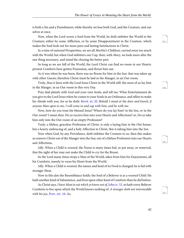is both a Sin and a Punishment; while thereby we lose both God, and the Creature, and our selves at once.

Now, when the Lord weans a Soul from the World, he doth imbitter the World to the Creature; either by some Affliction, or by some Disappointment in the Creature, which makes the Soul look out for more pure and lasting Satisfactions in Christ.

In a time of outward Prosperities, we are all *Martha's* Children, carried away too much with the World; but when God imbitters our Cup, then, with *Mary*, we look more after the one thing necessary, and mind the chusing the better part.

So long as we are full of the World, the Lord Christ can find no room in our Hearts: present Comforts have gotten Possession, and thrust him out.

As it was when he was born, there was no Room for him in the Inn: that was taken up with other Guests; therefore Christ must be laid in the Manger, in an Out-room.

Truly, thus it fares with the Lord Jesus Christ in the World still: the most of us lay him in the Manger, in an Out-room to this very Day.

<span id="page-45-2"></span>Pray deal plainly with God and your own Souls, and tell me, What Entertainment do you give to the Lord Jesus when he comes to your Souls in an Ordinance, and offers to make his Abode with you, for so he doth: [Revel. iii. 20.](http://www.ccel.org/study/Bible:Rev.3.20) Behold I stand at the door and knock; if anyone Man open to me, I will come in and sup with him, and he with me.

Now, how do you treat the blessed Jesus? Where do you lay him? in the Inn, or in the Out-room? I mean thus: Do ye receive him into your Hearts and Affections? or, Do ye take him only into the Out-room of an empty Profession?

Truly, a lifeless, graceless Profession of Christ, is only a laying him in the Out-house; but a hearty embracing of, and a holy Affection to Christ, this is taking him into the Inn.

Now when God, by any Providence, doth imbitter the Creature to us, then this makes us remove Christ out of the Manger into the Inn; out of a lifeless Profession into our Hearts and Affections.

2*dly*. When a Child is *weaned*, the Nurse is many times hid, or put away, or removed, that the sight of her may not make the Child to cry for the Breast.

So the Lord many times strips a Man of the World, takes from him his Enjoyments, all his Comforts, meeely to wean his Heart from the World.

<span id="page-45-1"></span>3*dly*. When a Child is *weaned*, the nature and kind of its Food is changed; he is fed with stronger Meat.

<span id="page-45-0"></span>Now in this also the Resemblance holds: the Soul of a Believer is as a weaned Child: He hath another kind of Subsistence, and lives upon other kind of Comforts than he did before.

As Christ says, I have Meat to eat which ye know not of, [John iv. 32](http://www.ccel.org/study/Bible:John.4.32). so hath every Believer Comforts to live upon which the World knows nothing of: A stranger doth not intermeddle with his joy, [Prov. xiv. 10.](http://www.ccel.org/study/Bible:Prov.14.10) As,

<span id="page-45-3"></span>107

<span id="page-45-4"></span>108

<span id="page-45-6"></span><span id="page-45-5"></span>109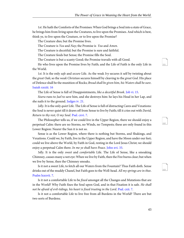1st. He hath the Comforts of the Promises: When God brings a Soul into a state of Grace, he brings him from living upon the Creatures, to live upon the Promises. And which is best, think ye, to live upon the Creature, or to live upon the Promise?

The Creature dies; but the Promise lives.

The Creature is Yea and Nay; the Promise is Yea and Amen.

The Creature is deceitful; but the Promise is sure and faithful.

The Creature feeds but Sense; the Promise fills the Soul.

The Creature is but a scanty Good; the Promise travails with all Good.

He who lives upon the Promise lives by Faith; and the Life of Faith is the only Life in the World.

<span id="page-46-5"></span><span id="page-46-1"></span>1st. It is the only *safe* and *secure* Life. As the weak *Ivy* secures it self by twisting about the great Oak; so the weak Christian secures himself by cleaving to the great God. His place of Defence shall be the munition of Rocks; Bread shall be given him, his Waters shall be sure. [Isaiah xxxiii. 16](http://www.ccel.org/study/Bible:Isa.33.16)

The Life of Sense is full of Disappointments, like a deceitful Brook. [Job vi. 15.](http://www.ccel.org/study/Bible:Job.6.15)

<span id="page-46-0"></span>Sisera runs to Jael to save him, and she destroys him: he lays his Head in her Lap, and she nails it to the ground. [Judges iv. 21.](http://www.ccel.org/study/Bible:Judg.4.21)

<span id="page-46-4"></span>2*dly*. It is the only *quiet* Life. The Life of Sense is full of distracting Cares and Vexations: the Soul is never quiet till it draws off from Sense to live by Faith; till it cries out with David, Return to thy rest, O my Soul. [Psal. cxvi. 7.](http://www.ccel.org/study/Bible:Ps.116.7)

The Philosopher tells us, if we could live in the Upper Region, there we should enjoy a perpetual Calm: there are no Storms, no Winds, no Tempests; these are only found in this Lower Region: Nearer the Sun it is not so.

<span id="page-46-6"></span>Sense is as the Lower Region, where there is nothing but Storms, and Shakings, and Vexations. Could we, by Faith, live in the Upper Region, and have the Moon under our feet; could we live above the World, by Faith in God, resting in the Lord Jesus Christ; we should enjoy a perpetual Calm there. In me ye shall have Peace. [John xvi. 33](http://www.ccel.org/study/Bible:John.16.33).

<span id="page-46-2"></span>3*dly*. It is the only *sweet* and *comfortable* Life. The Life of Sense, like a smoaking Chimney, causes many a wet eye: When we live by Faith, then the Fire burns clear; but when we live by Sense, then the Chimney smoaks.

<span id="page-46-3"></span>Is it not a sweet Life, to fetch all our Waters from the Fountain? Thus Faith doth. Sense drinks out of the muddy Chanel, but Faith goes to the Well-head. All my springs are in thee. [Psalm lxxxvii. 7.](http://www.ccel.org/study/Bible:Ps.87.7)

Is it not a comfortable Life to be *fixed* amongst all the Changes and Mutations that are in the World? Why Faith fixes the Soul upon God, and in that Fixation it is safe. He shall not be afraid of evil-tidings, his heart is fixed trusting in the Lord. [Psal. cxii. 7.](http://www.ccel.org/study/Bible:Ps.112.7)

Is it not a comfortable Life to live free from all Burdens in the World? There are but two sorts of Burdens;

<span id="page-46-7"></span>111

<span id="page-46-9"></span><span id="page-46-8"></span>112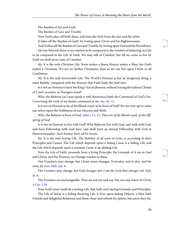The Burden of Sin and Guilt.

The Burden of Care and Trouble.

Now Faith takes off both these, and frees the Soul from the one and the other.

It takes off the Burden of Guilt, by resting upon Christ and his Righteousness.

And it takes off the Burden of *Care* and *Trouble*, by resting upon God and his Providence.

Ah  $(my$  beloved) there is no comfort to be compared to the comfort of believing; no Life to be compared to the Life of Faith. We may talk of Comfort, but till we come to live by Faith we shall never taste of Comfort.

4ly. It is the only Christian Life. Sense makes a Beast, Reason makes a Man, but Faith makes a Christian. We are no farther Christians, than as we can live upon Christ in all Conditions.

5ly. It is the only honourable Life. The World's Honour is but an imaginary thing, a meer Bubble, compared with the Honour that Faith leads the Soul into.

<span id="page-47-0"></span>Is it not an Honour to have the King's Ear at pleasure, without tracing the tedious Climax of Court-accesses, as Strangers must?

Why, the Believer (as I may speak it with Reverence) hath the Command of God's Ear. Concerning the work of my hands, command ye me. [Isa. xlv. 11.](http://www.ccel.org/study/Bible:Isa.45.11)

<span id="page-47-2"></span>Is it not an Honour to be of the Blood-royal, to be born of God? We are very apt to value our selves upon the Nobleness of our Descent and Birth.

Why, the Believer is born of God. [John i. 11](http://www.ccel.org/study/Bible:John.1.11), [12.](http://www.ccel.org/study/Bible:John.1.12) They are of the Blood-royal, of the Offspring of God.

Is it not an Honour to live with God? Why Believers live with God, and walk with God, and have Fellowship with God here; and shall have an eternal Fellowship with God in Heaven hereafter. Such honour have all his Saints.

6ly. It is the only lasting Life. The Stability of all sorts of Lives, is according to their Principles and Causes. The Life which depends upon a failing Cause is a fading Life; and the Life which depends upon a constant Cause is an abiding Life.

<span id="page-47-4"></span><span id="page-47-1"></span>Now the Life of Faith, proceeds from a living Principle; the Grounds of it are in God and Christ, and the Promise, no Change reaches to these.

<span id="page-47-3"></span>Our Comforts may change, but Christ never changes; Yesterday, and to day, and the same for ever, [Heb. xiii. 8](http://www.ccel.org/study/Bible:Heb.13.8).

The Creature may change, but God changes not: I am the Lord that changes not. [Mal.](http://www.ccel.org/study/Bible:Mal.3.6) [iii. 6](http://www.ccel.org/study/Bible:Mal.3.6).

The Promises are unchangeable: They are not yea and nay, but yea and Amen in Christ, [2 Cor. 1:20](http://www.ccel.org/study/Bible:2Cor.1.20).

Now Faith must needs be a lasting Life, that hath such lasting Grounds and Principles.

The Life of Sense is a fading decaying Life, it lives upon fading Objects: a Man hath Friends and delightful Relations, and these chear and refresh his Spirits; but anon they die, <span id="page-47-5"></span>114

<span id="page-47-7"></span><span id="page-47-6"></span>115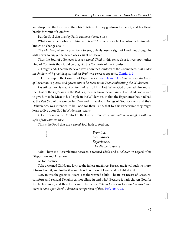and drop into the Dust, and then his Spirits sink: they go down to the Pit, and his Heart breaks for want of Comfort.

But the Soul that lives by Faith can never be at a loss.

What can he lack who hath him who is all? And what can he lose who hath him who knows no change at all?

The *Mariner*, when he puts forth to Sea, quickly loses a sight of Land; but though he sails never so far, yet he never loses a sight of Heaven.

Thus the Soul of a Believer is as a *weaned Child* in this sense also: it lives upon other kind of Comforts than it did before, viz. the Comforts of the Promises.

<span id="page-48-2"></span><span id="page-48-1"></span>2. I might add, That the Believer lives upon the Comforts of the Ordinances. I sat under his shadow with great delight, and his Fruit was sweet to my taste. [Cantic. ii. 3](http://www.ccel.org/study/Bible:Song.2.3).

3. He lives upon the Comfort of Experiences: [Psalm lxxiv. 14.](http://www.ccel.org/study/Bible:Ps.74.14) Thou breakest the heads of Leviathan in pieces, and gavest him to be Meat to the People inhabiting the Wilderness.

Leviathan here, is meant of Pharaoh and all his Host: When God drowned him and all the Host of the Egyptians in the Red Sea, then he brake Leviathan's Head: And God is said to give him to be Meat to his People in the Wilderness, in that the Experience they had had at the Red Sea, of the wonderful Care and miraculous Doings of God for them and their Deliverance, was intended to be Food for their Faith, that by this Experience they might learn to live upon God in Wilderness-straits.

4. He lives upon the Comfort of the Divine Presence. Thou shalt make me glad with the light of thy countenance.

This is the Food that the weaned Soul hath to feed on,

{

Promises . Ordinances. Experiences. The divine presence.

3dly. There is a Resemblance between a weaned Child and a Believer, in regard of its Disposition and Affection.

As for instance,

<span id="page-48-0"></span>Take a weaned Child, and lay it to the fullest and fairest Breast, and it will suck no more; it turns from it, and loaths it as much as heretofore it loved and delighted in it.

Now in this the gracious Heart is as the weaned Child: The fullest Breast of Creaturecomforts and sensual Delights cannot allure it: and why? Because it hath chosen God for its chiefest good, and therefore cannot be better. Whom have I in Heaven but thee? And there is none upon Earth I desire in comparison of thee. Psal.  $lxxiii. 25$ .

<span id="page-48-4"></span><span id="page-48-3"></span>118

<span id="page-48-5"></span>119

<span id="page-48-6"></span>120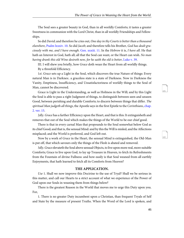The Soul sees a greater beauty in God, than in all worldly Comforts; it tastes a greater Sweetness in communion with the Lord Christ, than in all worldly Friendships and Fellowships.

<span id="page-49-2"></span><span id="page-49-1"></span><span id="page-49-0"></span>So did David; and therefore he cries out, One day in thy Courts is better than a thousand elsewhere, [Psalm lxxxiv. 10](http://www.ccel.org/study/Bible:Ps.84.10). So did Jacob; and therefore tells his Brother, God has dealt graciously with me, and I have enough. [Gen. xxxiii. 11.](http://www.ccel.org/study/Bible:Gen.33.11) In the Hebrew it is, I have all. He that hath an Interest in God, hath all; all that the Soul can want, or the Heart can wish. No man having drank this old Wine desireth new, for he saith the old is better, [Luke v. 39](http://www.ccel.org/study/Bible:Luke.5.39).

III. I will shew you briefly, how Grace doth wean the Heart from all worldly things. By a threefold Efficiency.

1st. Grace sets up a Light in the Soul, which discovers the true Nature of things: Every natural Man is in Darknes:. a graceless state is a state of Darkness. Now in Darkness the Vanity, Emptiness, Insufficiency, and Unsatisfactoriness of worldly things to the Soul of Man, cannot be discovered.

<span id="page-49-3"></span>Grace is Light in the Understanding, as well as Holiness in the Will; and by this Light the Soul is able to pass a right Judgment of things, to distinguish between seen and unseen Good, between perishing and durable Comforts; to discern between things that differ. The spiritual Man judgeth all things, the Apostle says in the first Epistle to the Corinthians, [chap.](http://www.ccel.org/study/Bible:1Cor.2.15) [2. ver. 15.](http://www.ccel.org/study/Bible:1Cor.2.15)

2*dly. Grace* has a farther Efficiency upon the Heart, and that is this: It extinguisheth and removes that out of the Soul which makes the things of the World to be our chief good.

There is that in every carnal Man that propounds to the Soul somewhat below God as its chief Good; and that is, the sensual Mind: and by this the Will is misled, and the Affections misplaced; and the World is preferred, and God left out.

Now by a work of Grace in the Heart, the sensual Mind is extinguished, the Old-Man is put off, that which savours only the things of the Flesh is abated and removed.

3dly. Grace elevateth the Soul above sensual Objects, to live upon more real, more suitable Comforts; Grace to live upon God, to lay up Treasure in Heaven, to fetch its Refreshments from the Fountain of divine Fullness: and how easily is that Soul weaned from all earthly Enjoyments, that hath learned to fetch all its Comforts from Heaven?

#### **THE APPLICATION.**

Use 1. Shall we now improve this Doctrine to the use of Tryal? Shall we be serious in this matter, and call our Hearts to a strict account of what we experience of the Power of God upon our Souls in weaning them from things below?

There is the greatest Reason in the World that moves me to urge this Duty upon you. For,

1. There is no greater Duty incumbent upon a Christian, than frequent Tryals of Self and State by the measure of present Truths. When the Word of the Lord is spoken, and

<span id="page-49-5"></span><span id="page-49-4"></span>121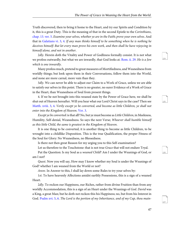<span id="page-50-5"></span><span id="page-50-4"></span>Truth discovered, then to bring it home to the Heart, and try our Spirits and Condition by it, this is a great Duty. This is the meaning of that in the second Epistle to the Corinthians, [chap. 13. ver. 5.](http://www.ccel.org/study/Bible:2Cor.13.5) Examine your selves, whether ye are in the Faith; prove your own selves. And that in [Galatians vi. 3,](http://www.ccel.org/study/Bible:Gal.6.3) [4.](http://www.ccel.org/study/Bible:Gal.6.4) If any man thinks himself to be something when he is nothing he deceives himself: But let every man prove his own work, and then shall he have rejoycing in himself alone, and not in another.

<span id="page-50-3"></span>2dly. Herein doth the Vitality and Power of Godliness formally consist. It is not what we profess outwardly, but what we are inwardly, that God looks at. [Rom. ii. 29.](http://www.ccel.org/study/Bible:Rom.2.29) He is a Jew which is one inwardly.

Many profess much, pretend to great measures of Mortifiedness, and Weanedness from worldly things; but look upon them in their Conversations, follow them into the World, and none are more carnal, more vain than they.

3dly. We can never be able to adjust our Claim to a Work of Grace, unless we are able to satisfy our selves in this point. There is no greater, no surer Evidence of a Work of Grace in the Heart, than Weanedness of Soul from present things.

<span id="page-50-2"></span><span id="page-50-1"></span>4. If we be not brought into this weaned state by the Power of Grace here, we shall be shut out of Heaven hereafter. Will you hear what our Lord Christ says in the case? Then see [Matth. xviii. 3,](http://www.ccel.org/study/Bible:Matt.18.3) [4.](http://www.ccel.org/study/Bible:Matt.18.4) Verily except ye be converted, and become as little Children, ye shall not enter into the Kingdom of Heaven. [Ver. 3.](http://www.ccel.org/study/Bible:Matt.18.3)

Except ye be converted: is that all? No, but ye must become as *Little Children*, in Meekness, Humility, Self-denial, Weanedness. So says the next Verse; Whoever shall humble himself as this little Child, the same is greatest in the Kingdom of Heaven.

It is one thing to be converted, it is another thing to become as little Children, to be wrought into a childlike Disposition. This is the true Qualification, the proper Fitness of the Soul for Glory: No Weanedness, no Blessedness.

Is there not then great Reason for my urging you to this Self-examination?

Let us therefore to the Touchstone: that is not true Grace that will not endure Tryal.

Put the Question: Is my Soul as a weaned Child? Am I under the Weanings of God, or am I not?

Quest. Now you will say, How may I know whether my Soul is under the Weanings of God? whether I am weaned from the World or not?

Answ. In Answer to this, I shall lay down some Rules to try your selves by:

<span id="page-50-0"></span>1st. To have heavenly Affections amidst earthly Possessions, this is a sign of a weaned Heart.

2dly. To reckon our Happiness, our Riches, rather from divine Fruition than from any worldly Accommodation, this is a sign of an Heart under the Weanings of God. David was a King, a great Man; but he doth not reckon this his Happiness; no, but from his Interest in God. [Psalm xvi. 5](http://www.ccel.org/study/Bible:Ps.16.5), [6.](http://www.ccel.org/study/Bible:Ps.16.6) The Lord is the portion of my Inheritance, and of my Cup, thou main<span id="page-50-6"></span>124

<span id="page-50-7"></span>125

<span id="page-50-9"></span><span id="page-50-8"></span>126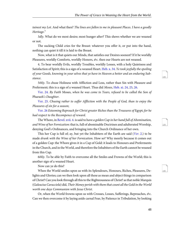tainest my Lot. And what then? The lines are fallen to me in pleasant Places. I have a goodly Heritage."

3dly. What do we most desire; most hunger after? This shews whether we are weaned or not.

The sucking Child cries for the Breast: whatever you offer it, or put into the hand, nothing can quiet it till it is laid to the Breast.

Now, what is it that quiets our Minds, that satisfies our Desires soonest? If it be worldly Pleasures, worldly Comforts, worldly Honors, &c. then our Hearts are not weaned.

<span id="page-51-0"></span>4. To bear worldly Evils, worldly Troubles, worldly Losses, with a holy Quietness and Satisfaction of Spirit; this is a sign of a weaned Heart. [Heb. x. 34](http://www.ccel.org/study/Bible:Heb.10.34). Ye took joyfully the spoiling of your Goods, knowing in your selves that ye have in Heaven a better and an enduring Substance.

<span id="page-51-2"></span><span id="page-51-1"></span>5thly. To chuse Holiness with Affliction and Loss, rather than Sin with Pleasure and Preferment; this is a sign of a weaned Heart. Thus did Moses, [Heb. xi. 24](http://www.ccel.org/study/Bible:Heb.11.24), [25,](http://www.ccel.org/study/Bible:Heb.11.25) [26](http://www.ccel.org/study/Bible:Heb.11.26).

<span id="page-51-3"></span>[Ver. 24](http://www.ccel.org/study/Bible:Heb.11.24). By Faith Moses, when he was come to Years, refused to be called the Son of Pharaoh's Daughter.

<span id="page-51-4"></span>[Ver. 25](http://www.ccel.org/study/Bible:Heb.11.25). Chusing rather to suffer Affliction with the People of God, than to enjoy the Pleasures of sin for a season;

<span id="page-51-6"></span>[Ver. 26](http://www.ccel.org/study/Bible:Heb.11.26) Esteeming Reproach for Christ greater Riches than the Treasures of Egypt; for he had respect to the Recompence of reward.

<span id="page-51-5"></span>The Whore, in [Revel. xvii. 4.](http://www.ccel.org/study/Bible:Rev.17.4) is said to have a golden Cup in her hand full of Abomination, and Wine of her Fornication: that is, full of abominable Doctrines and adulterated Worship, denying God's Ordinances, and bringing into the Church Ordinance of her own.

This her Cup is full of; ay, but yet the Inhabiters of the Earth are said ([Ver](http://www.ccel.org/study/Bible:Rev.17.2). 2.) to be made drunk with the Wine of her Fornication. How so? Why meerly because it comes out of a golden Cup: the Whore gives it in a Cup of Gold: it leads to Honours and Preferments in the Church, and in the World, and therefore the Inhabiters of the Earth cannot be weaned from this Cup.

6thly. To be able by Faith to overcome all the Smiles and Frowns of the World; this is another sign of a weaned Heart.

Now can ye do this?

When the World smiles upon us with its Splendours, Honours, Riches, Pleasures, Delights and Glories; can we then look upon all these as mean and abject things in comparison of Christ? Can you look through all this to the Righteousness of Christ? as that noble Marquis (Galeacius Caracciola) did, Their Money perish with them that count all the Gold in the World worth one days Communion with Jesus Christ.

Or, when the World frowns upon us with Crosses, Losses, Sufferings, Reproaches,  $\phi_c$ . Can we then overcome it by laying aside carnal Fear, by Patience in Tribulation, by looking <span id="page-51-7"></span>128

<span id="page-51-9"></span><span id="page-51-8"></span>129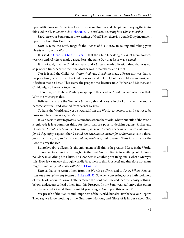<span id="page-52-3"></span>upon Afflictions and Sufferings for Christ as our Honour and Happiness; by eying the invis-ible God in all, as Moses did? [Hebr. xi. 27](http://www.ccel.org/study/Bible:Heb.11.27). He endured, as seeing him who is invisible.

Use 2. Are your Souls under the weanings of God? Then there is a double Duty incumbent upon you from this Doctrine.

<span id="page-52-0"></span>Duty 1. Bless the Lord, magnify the Riches of his Mercy, in calling and taking your Hearts off from the World.

It is said in [Genesis, Chap. 21. Ver. 8.](http://www.ccel.org/study/Bible:Gen.21.8) that the Child (speaking of Isaac) grew, and was weaned: and Abraham made a great Feast the same Day that Isaac was weaned.

It is not said, that the Child was born, and Abraham made a Feast: indeed that was not so proper a time, because then the Mother was in Weakness and Grief.

Nor is it said the Child was circumcised, and Abraham made a Feast: nor was that so proper a time, because then the Child was sore and in Grief; but the Child was *weaned*, and Abraham made a Feast. This seems the proper time, because now Father, and Mother, and Child, might all rejoyce together.

There was, no doubt, a Mystery wrapt up in this Feast of Abraham: and what was that? Why the Mystery is this.

Believers, who are the Seed of Abraham, should rejoyce in the Lord when the Soul is become spiritual, and weaned from carnal Desires.

To have the World, and yet be weaned from the World; to possess it, and yet not to be possessed by it; this is a great Mercy.

It is an easie matter to profess Weanedness from the World, where but little of the World is enjoyed; it is a common thing for them that are poor to declaim against Riches and Greatness. I would not be in their Condition, says one. I would not be under their Temptations for all they enjoy, says another, I would not have that to answer for as they have, says a third; for as they are great, so they are proud, high-minded, and covetous. Thus it is usual for the Poor to envy the rich.

But to live above all, amidst the enjoyment of all, this is the greatest Mercy in the World.

<span id="page-52-2"></span><span id="page-52-1"></span>To see no Greatness in anything but in the great God, no Beauty in anything but Holiness, no Glory in anything but Christ, no Goodness in anything but Religion; O what a Mercy is this! How few can look through worldly Greatness to this Prospect! and therefore not many mighty, not many noble, are called &c. [1 Cor. i. 26.](http://www.ccel.org/study/Bible:1Cor.1.26)

Duty 2. Labor to wean others from the World; as Christ said to Peter, When thou art converted strengthen thy brethren, [Luke xxii. 32](http://www.ccel.org/study/Bible:Luke.22.32). So when converting Grace hath took hold of thy Heart, labour to convert others: When the Lord hath shewed thee the Vanity of things below, endeavour to lead others into this Prospect: Is thy Soul weaned? strive that others may be weaned. O what Honour might you bring to God upon this account!

We preach of the Vanity and Emptiness of the World; but alas! few believe our Report. They say we know nothing of the Grandure, Honour, and Glory of it in our selves: God <span id="page-52-4"></span>131

<span id="page-52-5"></span>132

<span id="page-52-7"></span><span id="page-52-6"></span>133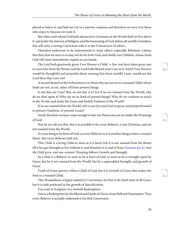placed us below it, and laid our Lot in a narrow compass; and therefore we envy it to those who enjoy it, because we want it.

But when such whom God hath advanced to Greatness in the World shall yet live above it, and prefer the Interest of Religion, and the honouring of God, before all worldly Grandure; this will carry a strong Conviction with it to the Consciences of others.

Therefore endeavour to be instrumental to wean others, especially Relations: Labour that they that are near to us may not be far from God; and chiefly our Children, whose Souls God will more immediately require at our hands.

The Lord hath graciously given Your Honour a Child, a Son: you have taken great care to wean him from the Breast, and the Lord hath blessed your Care in it: And if Your Honour would be thoughtful and prayerful about *weaning* him from worldly Lusts, would not the Lord bless that Care too?

A second Branch of the Exhortation is to them who are not yet as a weaned Child, whose Souls are not, as yet, taken off from present things.

Is not this our Case? May we not fear it is? For if we are weaned from the World, why do we doat upon it? Why are we so fond of present things? Why do we conform so much to the World, and study the Guise and foolish Fashions of the World?

If we are weaned from the World, why is our Joy and Grief so great, and proportionated to present Comforts, or present Losses?

Surely therefore we have cause enough to fear our Hearts are not yet under the Weanings of God.

Nay let me tell you this, that it is possible to be a true Believer, a true Christian, and yet not weaned from the World.

<span id="page-53-0"></span>It is one thing to be born of God, as every Believer is; it is another thing to have a weaned Heart: this every Believer hath not.

This Child is a living Child so soon as it is born; but it is not weaned from the Breast till it has got Strength to live without it: and therefore it is said of Isaac [\(Genesis xxi. 8.](http://www.ccel.org/study/Bible:Gen.21.8)) that the Child grew, and was weaned. Weaning follows Growth and Strength.

So a Man is a Believer so soon as he is born of God, so soon as he is wrought upon by Grace; but he is not weaned from the World, but by a superadded Strength, and growth of Grace.

Truth of Grace proves a Man a Child of God; but it is Growth of Grace that makes the Soul as a weaned Child.

This Weanedness is begun indeed in Conversion, for that is the Seed-time of all Grace; but it is only perfected in the growth of Sanctification.

You read in Scripture of a twofold Redemption:

One is a Redemption by the Blood and Death of Christ, from Hell and Damnation: Thus every Believer is actually redeemed at his first Conversion.

<span id="page-53-1"></span>135

<span id="page-53-3"></span><span id="page-53-2"></span>136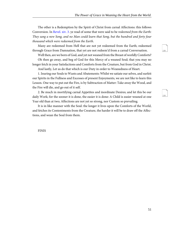<span id="page-54-0"></span>The other is a Redemption by the Spirit of Christ from carnal Affections: this follows Conversion. In [Revel. xiv. 3](http://www.ccel.org/study/Bible:Rev.14.3). ye read of some that were said to be redeemed from the Earth: They sang a new Song, and no Man could learn that Song, but the hundred and forty four thousand which were redeemed from the Earth.

Many are redeemed from Hell that are not yet redeemed from the Earth; redeemed through Grace from Damnation, that yet are not redeem'd from a carnal Conversation.

Well then, are we born of God, and yet not weaned from the Breast of worldly Comforts?

Oh then go away, and beg of God for this Mercy of a weaned Soul; that you may no longer fetch in your Satisfactions and Comforts from the Creature, but from God in Christ.

And lastly, Let us do that which is our Duty in order to Weanedness of Heart.

1. Inuring our Souls to Wants and Abatements: Whilst we satiate our selves, and surfeit our Spirits in the Fullness and Excesses of present Enjoyments, we are not like to learn this Lesson. One way to put out the Fire, is by Subtraction of Matter: Take away the Wood, and the Fire will die, and go out of it self.

2. Be much in mortifying carnal Appetites and inordinate Desires; and let this be our daily Work; for the sooner it is done, the easier it is done: A Child is easier weaned at one Year old than at two; Affections are not yet so strong, nor Custom so prevailing.

It is in like manner with the Soul: the longer it lives upon the Comforts of the World, and fetches its Contentments from the Creature, the harder it will be to draw off the Affections, and wean the Soul from them.

FINIS

<span id="page-54-2"></span><span id="page-54-1"></span>138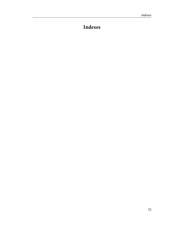# <span id="page-55-0"></span>**Indexes**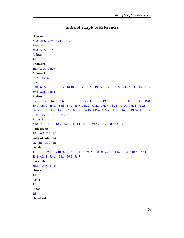## **Index of Scripture References**

```
Genesis
21:8   21:8   27:4   33:11   38:25
Exodus
20:4   35:5   35:6
Judges
4:21
1 Samuel
2:13   2:14   18:23
2 Samuel
15:25   15:26
Job
1:10   6:15   18:16   18:17   18:18   18:19   18:21   19:25   19:26   19:27   20:22   21:7-15   29:3  
29:4   29:6   33:24
Psalms
6:21-23   9:5   16:5   16:6   16:11   19:7   19:7-11   19:8   19:9   19:10   31:3   32:11   33:5   36:8  
40:8   45:10   45:11   58:3   58:4   66:9   73:22   73:22   73:23   73:23   73:24   73:24   73:25  
74:14   82:7   84:10   87:7   87:7   89:19   104:15   106:4   106:5   112:7   116:7   119:24   119:105  
131:1   131:1   131:2   149:9
Proverbs
2:10   2:11   8:18   10:7   14:10   16:19   27:19   29:23   30:2   30:3   31:14
Ecclesiastes
3:11   6:3   7:3   9:1
Song of Solomon
1:2   2:3   4:10   6:3
Isaiah
4:5   6:9   6:9-12   6:10   6:11   6:12   11:2   28:20   28:20   29:8   33:16   40:22   40:23   42:16  
43:4   45:11   53:11   56:4   56:5   56:5
Jeremiah
2:13   17:13   31:34
Hosea
4:11
Amos
3:2
Jonah
2:8
Habakkuk
```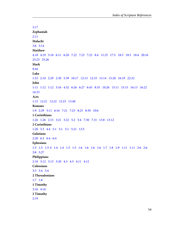```
3:17
Zephaniah
2:11
Malachi
3:6   3:14
Matthew
4:18   4:19   5:18   6:11   6:20   7:22   7:23   7:23   8:4   11:25   17:5   18:3   18:3   18:4   20:16  
25:23   25:26
Mark
9:44
Luke
1:53   2:10   2:29   2:30   5:39   10:17   12:15   12:33   15:14   15:20   16:19   22:32
John
1:11   1:12   1:12   3:16   4:32   6:26   6:27   6:45   8:35   10:26   15:11   15:15   16:13   16:22  
16:33
Acts
1:15   12:21   12:22   12:23   13:48
Romans
1:9   2:29   3:11   6:16   7:21   7:23   8:23   8:30   10:6
1 Corinthians
1:26   1:26   2:15   3:21   3:22   5:2   5:4   7:30   7:31   13:8   13:12
2 Corinthians
1:20   3:3   4:4   5:1   5:1   5:1   5:21   13:5
Galatians
2:20   6:3   6:4   6:4
Ephesians
1:3   1:3   1:3-4   1:4   1:4   1:5   1:5   1:6   1:6   1:6   1:6   1:7   1:8   1:9   1:11   1:11   2:6   2:6  
3:8   5:27
Philippians
2:10   3:12   3:13   3:20   4:3   4:3   4:11   4:12
Colossians
3:3   3:4   3:4
2 Thessalonians
1:7   1:8
1 Timothy
3:16   4:16
2 Timothy
2:19
```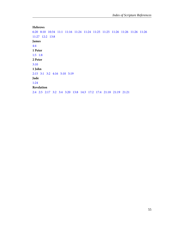#### **Hebrews**

[6:20](#page-22-4) [8:10](#page-24-4) [10:34](#page-51-0) [11:1](#page-23-3) [11:16](#page-26-3) [11:24](#page-51-1) [11:24](#page-51-2) [11:25](#page-51-1)   [11:25](#page-51-3)   [11:26](#page-20-8)   [11:26](#page-26-4)   [11:26](#page-51-1) [11:26](#page-51-4) [11:27](#page-52-3)   [12:2](#page-21-6)  [13:8](#page-47-4) **James** [4:4](#page-27-8) **1 Peter** [1:5](#page-40-1) [1:8](#page-26-5) **2 Peter** [3:10](#page-19-7) **1 John** [2:15](#page-27-9) [3:1](#page-15-1)   [3:2](#page-32-3)  [4:16](#page-17-8) [5:10](#page-25-5) [5:19](#page-13-4) **Jude** [1:24](#page-31-5) **Revelation** [2:4](#page-40-2) [2:5](#page-40-2)   [2:17](#page-15-2)  [3:2](#page-40-3) [3:4](#page-13-5)   [3:20](#page-45-2) [13:8](#page-13-6) [14:3](#page-54-0) [17:2](#page-51-5)   [17:4](#page-51-6)   [21:18](#page-32-8)   [21:19](#page-32-8) [21:21](#page-32-8)